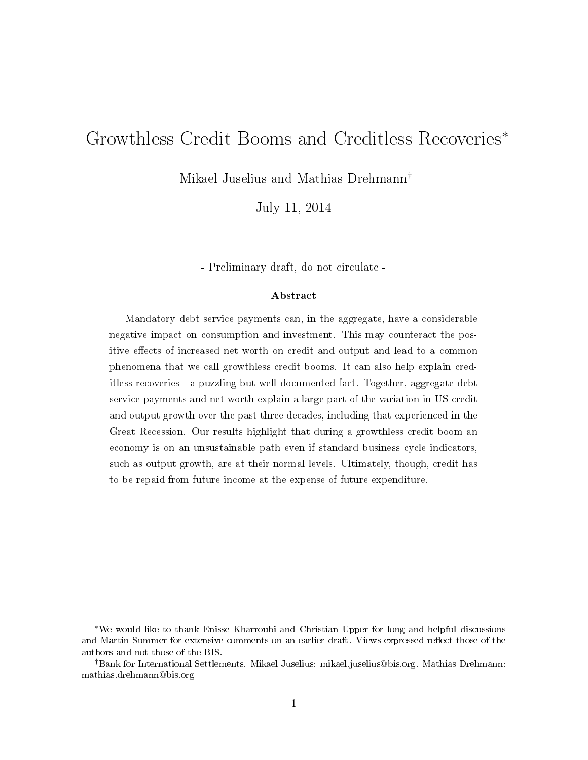# Growthless Credit Booms and Creditless Recoveries<sup>∗</sup>

Mikael Juselius and Mathias Drehmann†

July 11, 2014

- Preliminary draft, do not circulate -

#### Abstract

Mandatory debt service payments can, in the aggregate, have a considerable negative impact on consumption and investment. This may counteract the positive effects of increased net worth on credit and output and lead to a common phenomena that we call growthless credit booms. It can also help explain creditless recoveries - a puzzling but well documented fact. Together, aggregate debt service payments and net worth explain a large part of the variation in US credit and output growth over the past three decades, including that experienced in the Great Recession. Our results highlight that during a growthless credit boom an economy is on an unsustainable path even if standard business cycle indicators, such as output growth, are at their normal levels. Ultimately, though, credit has to be repaid from future income at the expense of future expenditure.

<sup>∗</sup>We would like to thank Enisse Kharroubi and Christian Upper for long and helpful discussions and Martin Summer for extensive comments on an earlier draft. Views expressed reflect those of the authors and not those of the BIS.

<sup>†</sup>Bank for International Settlements. Mikael Juselius: mikael.juselius@bis.org. Mathias Drehmann: mathias.drehmann@bis.org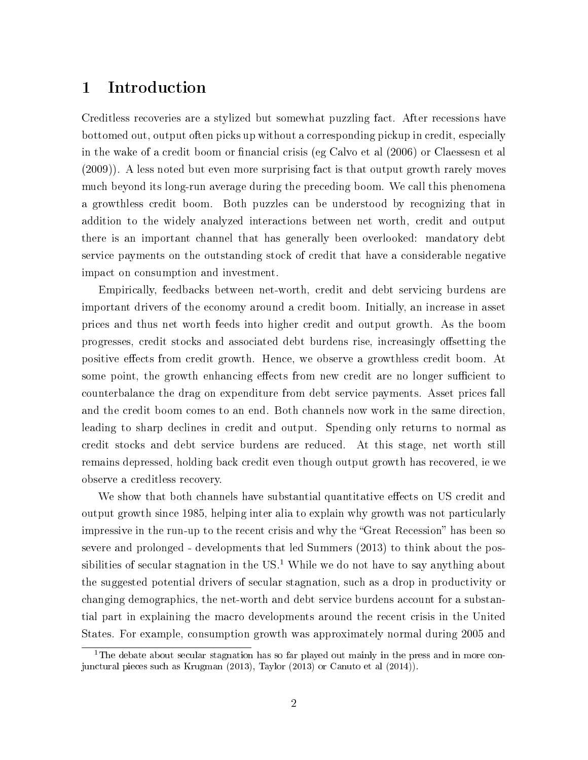## 1 Introduction

Creditless recoveries are a stylized but somewhat puzzling fact. After recessions have bottomed out, output often picks up without a corresponding pickup in credit, especially in the wake of a credit boom or financial crisis (eg Calvo et al  $(2006)$  or Claessesn et al (2009)). A less noted but even more surprising fact is that output growth rarely moves much beyond its long-run average during the preceding boom. We call this phenomena a growthless credit boom. Both puzzles can be understood by recognizing that in addition to the widely analyzed interactions between net worth, credit and output there is an important channel that has generally been overlooked: mandatory debt service payments on the outstanding stock of credit that have a considerable negative impact on consumption and investment.

Empirically, feedbacks between net-worth, credit and debt servicing burdens are important drivers of the economy around a credit boom. Initially, an increase in asset prices and thus net worth feeds into higher credit and output growth. As the boom progresses, credit stocks and associated debt burdens rise, increasingly offsetting the positive effects from credit growth. Hence, we observe a growthless credit boom. At some point, the growth enhancing effects from new credit are no longer sufficient to counterbalance the drag on expenditure from debt service payments. Asset prices fall and the credit boom comes to an end. Both channels now work in the same direction, leading to sharp declines in credit and output. Spending only returns to normal as credit stocks and debt service burdens are reduced. At this stage, net worth still remains depressed, holding back credit even though output growth has recovered, ie we observe a creditless recovery.

We show that both channels have substantial quantitative effects on US credit and output growth since 1985, helping inter alia to explain why growth was not particularly impressive in the run-up to the recent crisis and why the "Great Recession" has been so severe and prolonged - developments that led Summers (2013) to think about the possibilities of secular stagnation in the  $US<sup>1</sup>$ . While we do not have to say anything about the suggested potential drivers of secular stagnation, such as a drop in productivity or changing demographics, the net-worth and debt service burdens account for a substantial part in explaining the macro developments around the recent crisis in the United States. For example, consumption growth was approximately normal during 2005 and

<sup>&</sup>lt;sup>1</sup>The debate about secular stagnation has so far played out mainly in the press and in more conjunctural pieces such as Krugman (2013), Taylor (2013) or Canuto et al (2014)).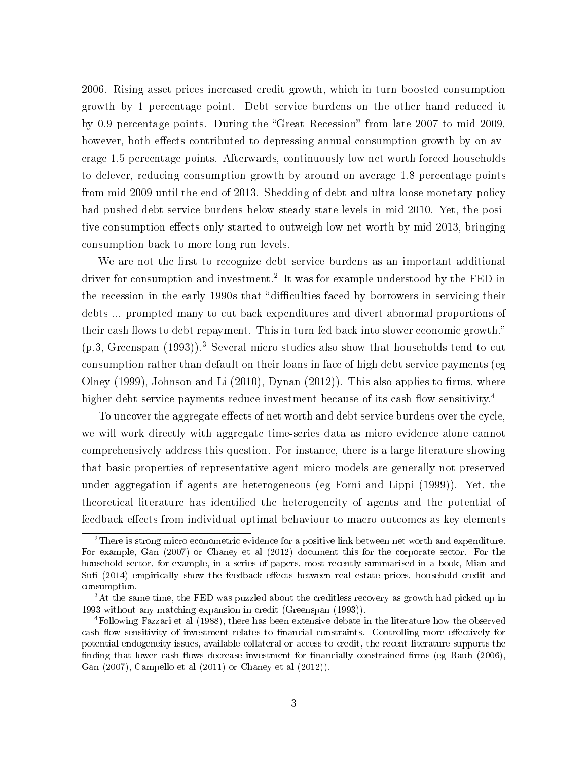2006. Rising asset prices increased credit growth, which in turn boosted consumption growth by 1 percentage point. Debt service burdens on the other hand reduced it by 0.9 percentage points. During the "Great Recession" from late 2007 to mid 2009, however, both effects contributed to depressing annual consumption growth by on average 1.5 percentage points. Afterwards, continuously low net worth forced households to delever, reducing consumption growth by around on average 1.8 percentage points from mid 2009 until the end of 2013. Shedding of debt and ultra-loose monetary policy had pushed debt service burdens below steady-state levels in mid-2010. Yet, the positive consumption effects only started to outweigh low net worth by mid 2013, bringing consumption back to more long run levels.

We are not the first to recognize debt service burdens as an important additional driver for consumption and investment.<sup>2</sup> It was for example understood by the FED in the recession in the early 1990s that "difficulties faced by borrowers in servicing their debts ... prompted many to cut back expenditures and divert abnormal proportions of their cash flows to debt repayment. This in turn fed back into slower economic growth."  $(p.3, Greenspan (1993))$ .<sup>3</sup> Several micro studies also show that households tend to cut consumption rather than default on their loans in face of high debt service payments (eg Olney (1999), Johnson and Li  $(2010)$ , Dynan  $(2012)$ ). This also applies to firms, where higher debt service payments reduce investment because of its cash flow sensitivity.<sup>4</sup>

To uncover the aggregate effects of net worth and debt service burdens over the cycle, we will work directly with aggregate time-series data as micro evidence alone cannot comprehensively address this question. For instance, there is a large literature showing that basic properties of representative-agent micro models are generally not preserved under aggregation if agents are heterogeneous (eg Forni and Lippi (1999)). Yet, the theoretical literature has identified the heterogeneity of agents and the potential of feedback effects from individual optimal behaviour to macro outcomes as key elements

<sup>2</sup>There is strong micro econometric evidence for a positive link between net worth and expenditure. For example, Gan (2007) or Chaney et al (2012) document this for the corporate sector. For the household sector, for example, in a series of papers, most recently summarised in a book, Mian and Sufi (2014) empirically show the feedback effects between real estate prices, household credit and consumption.

<sup>&</sup>lt;sup>3</sup>At the same time, the FED was puzzled about the creditless recovery as growth had picked up in 1993 without any matching expansion in credit (Greenspan (1993)).

<sup>4</sup>Following Fazzari et al (1988), there has been extensive debate in the literature how the observed cash flow sensitivity of investment relates to financial constraints. Controlling more effectively for potential endogeneity issues, available collateral or access to credit, the recent literature supports the finding that lower cash flows decrease investment for financially constrained firms (eg Rauh  $(2006)$ , Gan (2007), Campello et al (2011) or Chaney et al (2012)).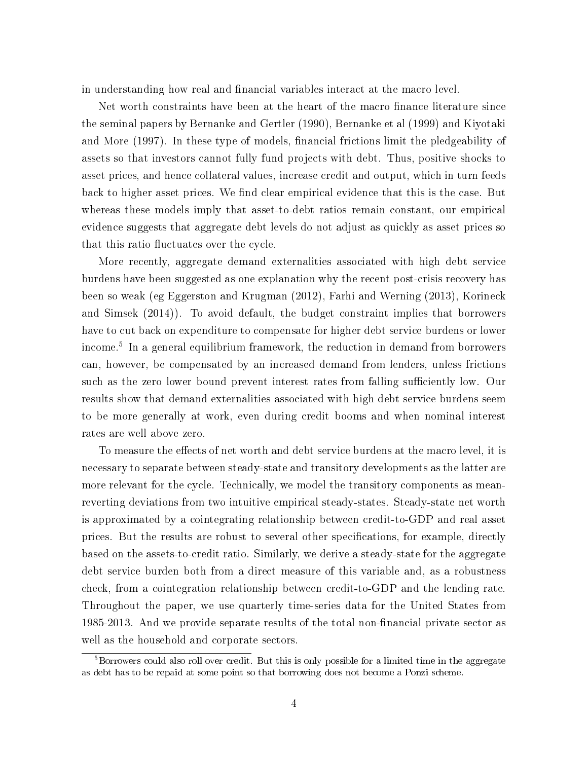in understanding how real and financial variables interact at the macro level.

Net worth constraints have been at the heart of the macro finance literature since the seminal papers by Bernanke and Gertler (1990), Bernanke et al (1999) and Kiyotaki and More (1997). In these type of models, financial frictions limit the pledgeability of assets so that investors cannot fully fund projects with debt. Thus, positive shocks to asset prices, and hence collateral values, increase credit and output, which in turn feeds back to higher asset prices. We find clear empirical evidence that this is the case. But whereas these models imply that asset-to-debt ratios remain constant, our empirical evidence suggests that aggregate debt levels do not adjust as quickly as asset prices so that this ratio fluctuates over the cycle.

More recently, aggregate demand externalities associated with high debt service burdens have been suggested as one explanation why the recent post-crisis recovery has been so weak (eg Eggerston and Krugman (2012), Farhi and Werning (2013), Korineck and Simsek (2014)). To avoid default, the budget constraint implies that borrowers have to cut back on expenditure to compensate for higher debt service burdens or lower income.<sup>5</sup> In a general equilibrium framework, the reduction in demand from borrowers can, however, be compensated by an increased demand from lenders, unless frictions such as the zero lower bound prevent interest rates from falling sufficiently low. Our results show that demand externalities associated with high debt service burdens seem to be more generally at work, even during credit booms and when nominal interest rates are well above zero.

To measure the effects of net worth and debt service burdens at the macro level, it is necessary to separate between steady-state and transitory developments as the latter are more relevant for the cycle. Technically, we model the transitory components as meanreverting deviations from two intuitive empirical steady-states. Steady-state net worth is approximated by a cointegrating relationship between credit-to-GDP and real asset prices. But the results are robust to several other specifications, for example, directly based on the assets-to-credit ratio. Similarly, we derive a steady-state for the aggregate debt service burden both from a direct measure of this variable and, as a robustness check, from a cointegration relationship between credit-to-GDP and the lending rate. Throughout the paper, we use quarterly time-series data for the United States from 1985-2013. And we provide separate results of the total non-financial private sector as well as the household and corporate sectors.

<sup>&</sup>lt;sup>5</sup>Borrowers could also roll over credit. But this is only possible for a limited time in the aggregate as debt has to be repaid at some point so that borrowing does not become a Ponzi scheme.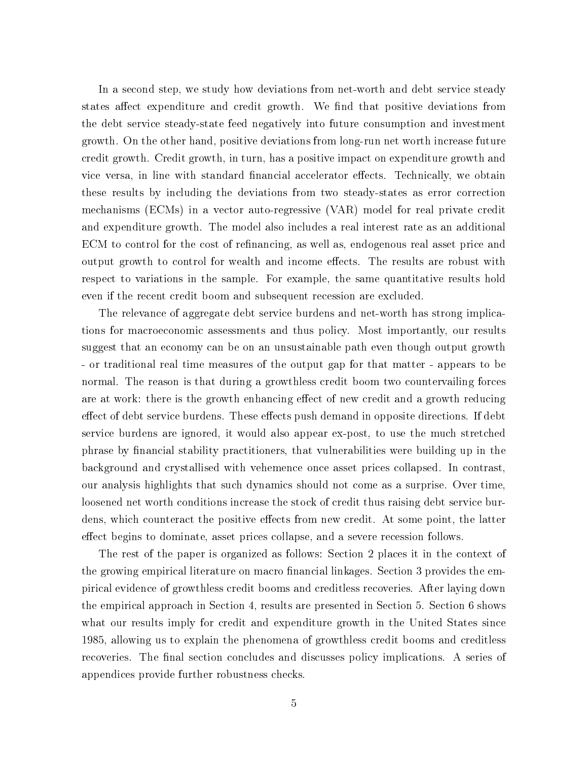In a second step, we study how deviations from net-worth and debt service steady states affect expenditure and credit growth. We find that positive deviations from the debt service steady-state feed negatively into future consumption and investment growth. On the other hand, positive deviations from long-run net worth increase future credit growth. Credit growth, in turn, has a positive impact on expenditure growth and vice versa, in line with standard financial accelerator effects. Technically, we obtain these results by including the deviations from two steady-states as error correction mechanisms (ECMs) in a vector auto-regressive (VAR) model for real private credit and expenditure growth. The model also includes a real interest rate as an additional ECM to control for the cost of refinancing, as well as, endogenous real asset price and output growth to control for wealth and income effects. The results are robust with respect to variations in the sample. For example, the same quantitative results hold even if the recent credit boom and subsequent recession are excluded.

The relevance of aggregate debt service burdens and net-worth has strong implications for macroeconomic assessments and thus policy. Most importantly, our results suggest that an economy can be on an unsustainable path even though output growth - or traditional real time measures of the output gap for that matter - appears to be normal. The reason is that during a growthless credit boom two countervailing forces are at work: there is the growth enhancing effect of new credit and a growth reducing effect of debt service burdens. These effects push demand in opposite directions. If debt service burdens are ignored, it would also appear ex-post, to use the much stretched phrase by financial stability practitioners, that vulnerabilities were building up in the background and crystallised with vehemence once asset prices collapsed. In contrast, our analysis highlights that such dynamics should not come as a surprise. Over time, loosened net worth conditions increase the stock of credit thus raising debt service burdens, which counteract the positive effects from new credit. At some point, the latter effect begins to dominate, asset prices collapse, and a severe recession follows.

The rest of the paper is organized as follows: Section 2 places it in the context of the growing empirical literature on macro financial linkages. Section 3 provides the empirical evidence of growthless credit booms and creditless recoveries. After laying down the empirical approach in Section 4, results are presented in Section 5. Section 6 shows what our results imply for credit and expenditure growth in the United States since 1985, allowing us to explain the phenomena of growthless credit booms and creditless recoveries. The final section concludes and discusses policy implications. A series of appendices provide further robustness checks.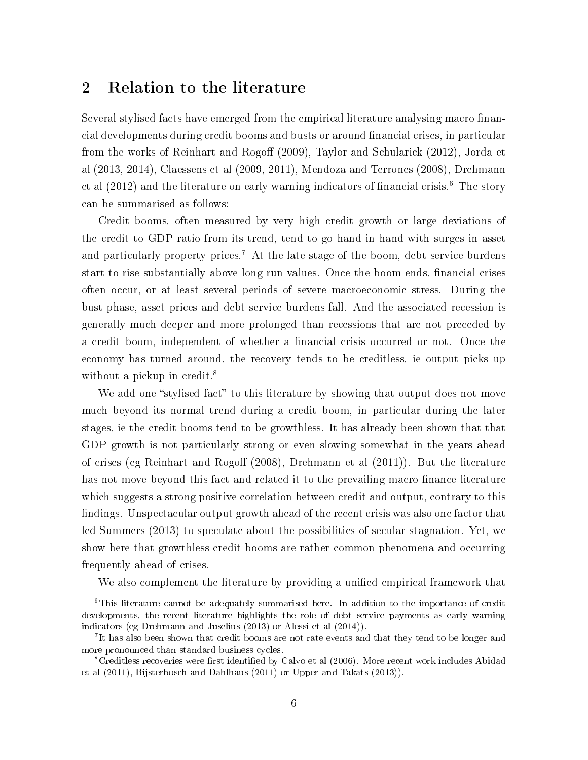### 2 Relation to the literature

Several stylised facts have emerged from the empirical literature analysing macro financial developments during credit booms and busts or around financial crises, in particular from the works of Reinhart and Rogoff (2009), Taylor and Schularick (2012), Jorda et al (2013, 2014), Claessens et al (2009, 2011), Mendoza and Terrones (2008), Drehmann et al  $(2012)$  and the literature on early warning indicators of financial crisis.<sup>6</sup> The story can be summarised as follows:

Credit booms, often measured by very high credit growth or large deviations of the credit to GDP ratio from its trend, tend to go hand in hand with surges in asset and particularly property prices.<sup>7</sup> At the late stage of the boom, debt service burdens start to rise substantially above long-run values. Once the boom ends, financial crises often occur, or at least several periods of severe macroeconomic stress. During the bust phase, asset prices and debt service burdens fall. And the associated recession is generally much deeper and more prolonged than recessions that are not preceded by a credit boom, independent of whether a financial crisis occurred or not. Once the economy has turned around, the recovery tends to be creditless, ie output picks up without a pickup in credit.<sup>8</sup>

We add one "stylised fact" to this literature by showing that output does not move much beyond its normal trend during a credit boom, in particular during the later stages, ie the credit booms tend to be growthless. It has already been shown that that GDP growth is not particularly strong or even slowing somewhat in the years ahead of crises (eg Reinhart and Rogoff  $(2008)$ , Drehmann et al  $(2011)$ ). But the literature has not move beyond this fact and related it to the prevailing macro finance literature which suggests a strong positive correlation between credit and output, contrary to this findings. Unspectacular output growth ahead of the recent crisis was also one factor that led Summers (2013) to speculate about the possibilities of secular stagnation. Yet, we show here that growthless credit booms are rather common phenomena and occurring frequently ahead of crises.

We also complement the literature by providing a unified empirical framework that

 $6$ This literature cannot be adequately summarised here. In addition to the importance of credit developments, the recent literature highlights the role of debt service payments as early warning indicators (eg Drehmann and Juselius (2013) or Alessi et al (2014)).

<sup>&</sup>lt;sup>7</sup>It has also been shown that credit booms are not rate events and that they tend to be longer and more pronounced than standard business cycles.

<sup>&</sup>lt;sup>8</sup>Creditless recoveries were first identified by Calvo et al (2006). More recent work includes Abidad et al (2011), Bijsterbosch and Dahlhaus (2011) or Upper and Takats (2013)).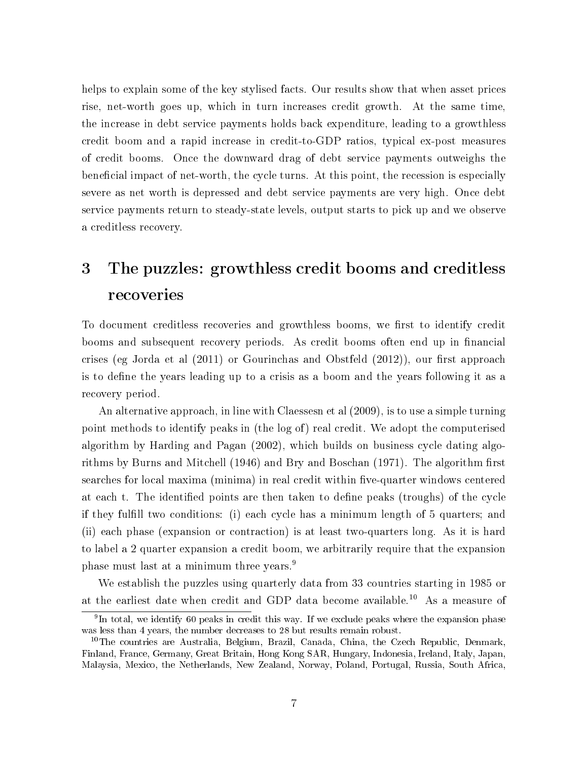helps to explain some of the key stylised facts. Our results show that when asset prices rise, net-worth goes up, which in turn increases credit growth. At the same time, the increase in debt service payments holds back expenditure, leading to a growthless credit boom and a rapid increase in credit-to-GDP ratios, typical ex-post measures of credit booms. Once the downward drag of debt service payments outweighs the beneficial impact of net-worth, the cycle turns. At this point, the recession is especially severe as net worth is depressed and debt service payments are very high. Once debt service payments return to steady-state levels, output starts to pick up and we observe a creditless recovery.

# 3 The puzzles: growthless credit booms and creditless recoveries

To document creditless recoveries and growthless booms, we first to identify credit booms and subsequent recovery periods. As credit booms often end up in financial crises (eg Jorda et al  $(2011)$  or Gourinchas and Obstfeld  $(2012)$ ), our first approach is to define the years leading up to a crisis as a boom and the years following it as a recovery period.

An alternative approach, in line with Claessesn et al (2009), is to use a simple turning point methods to identify peaks in (the log of) real credit. We adopt the computerised algorithm by Harding and Pagan (2002), which builds on business cycle dating algorithms by Burns and Mitchell  $(1946)$  and Bry and Boschan  $(1971)$ . The algorithm first searches for local maxima (minima) in real credit within five-quarter windows centered at each t. The identified points are then taken to define peaks (troughs) of the cycle if they fulll two conditions: (i) each cycle has a minimum length of 5 quarters; and (ii) each phase (expansion or contraction) is at least two-quarters long. As it is hard to label a 2 quarter expansion a credit boom, we arbitrarily require that the expansion phase must last at a minimum three years.<sup>9</sup>

We establish the puzzles using quarterly data from 33 countries starting in 1985 or at the earliest date when credit and GDP data become available.<sup>10</sup> As a measure of

<sup>&</sup>lt;sup>9</sup>In total, we identify 60 peaks in credit this way. If we exclude peaks where the expansion phase was less than 4 years, the number decreases to 28 but results remain robust.

<sup>&</sup>lt;sup>10</sup>The countries are Australia, Belgium, Brazil, Canada, China, the Czech Republic, Denmark, Finland, France, Germany, Great Britain, Hong Kong SAR, Hungary, Indonesia, Ireland, Italy, Japan, Malaysia, Mexico, the Netherlands, New Zealand, Norway, Poland, Portugal, Russia, South Africa,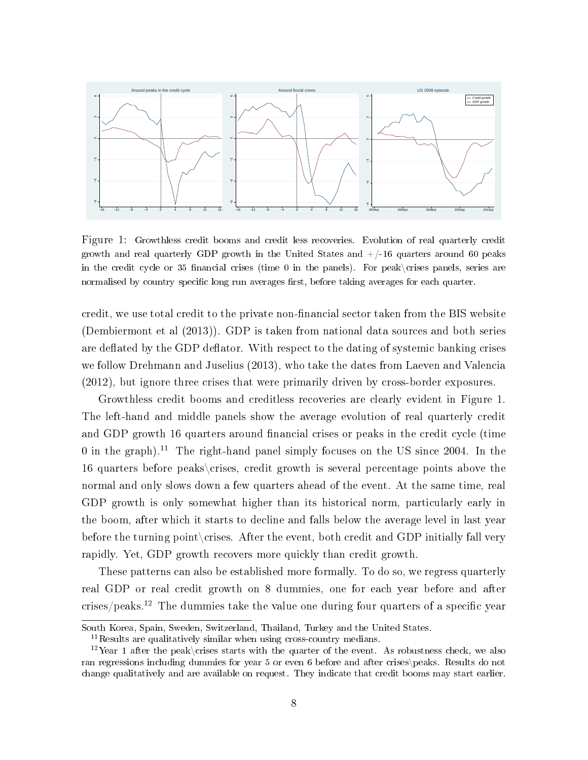

Figure 1: Growthless credit booms and credit less recoveries. Evolution of real quarterly credit growth and real quarterly GDP growth in the United States and  $+/-16$  quarters around 60 peaks in the credit cycle or 35 financial crises (time 0 in the panels). For peak $\langle$ crises panels, series are normalised by country specific long run averages first, before taking averages for each quarter.

credit, we use total credit to the private non-financial sector taken from the BIS website (Dembiermont et al (2013)). GDP is taken from national data sources and both series are deflated by the GDP deflator. With respect to the dating of systemic banking crises we follow Drehmann and Juselius (2013), who take the dates from Laeven and Valencia (2012), but ignore three crises that were primarily driven by cross-border exposures.

Growthless credit booms and creditless recoveries are clearly evident in Figure 1. The left-hand and middle panels show the average evolution of real quarterly credit and GDP growth 16 quarters around financial crises or peaks in the credit cycle (time 0 in the graph).<sup>11</sup> The right-hand panel simply focuses on the US since 2004. In the 16 quarters before peaks\crises, credit growth is several percentage points above the normal and only slows down a few quarters ahead of the event. At the same time, real GDP growth is only somewhat higher than its historical norm, particularly early in the boom, after which it starts to decline and falls below the average level in last year before the turning point crises. After the event, both credit and GDP initially fall very rapidly. Yet, GDP growth recovers more quickly than credit growth.

These patterns can also be established more formally. To do so, we regress quarterly real GDP or real credit growth on 8 dummies, one for each year before and after  $crises/peaks.<sup>12</sup>$  The dummies take the value one during four quarters of a specific year

South Korea, Spain, Sweden, Switzerland, Thailand, Turkey and the United States.

 $^{11}\mathrm{Results}$  are qualitatively similar when using cross-country medians.

<sup>&</sup>lt;sup>12</sup>Year 1 after the peak\crises starts with the quarter of the event. As robustness check, we also ran regressions including dummies for year 5 or even 6 before and after crises\peaks. Results do not change qualitatively and are available on request. They indicate that credit booms may start earlier.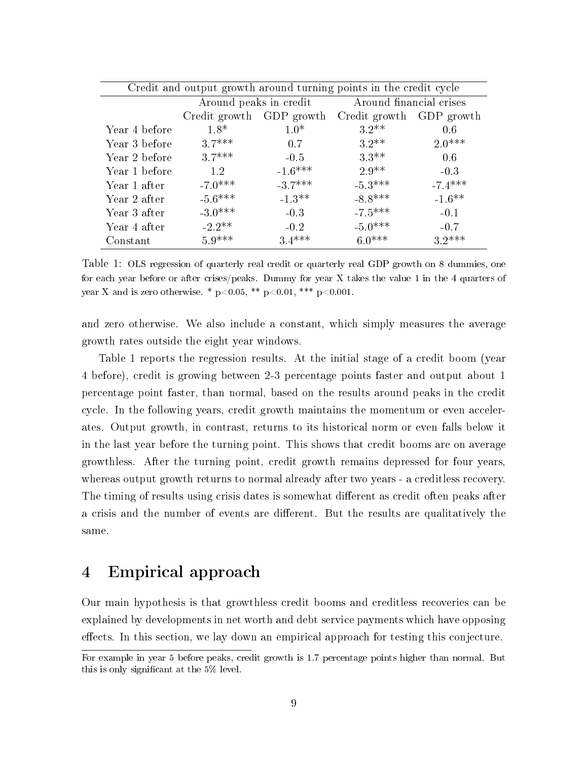| Credit and output growth around turning points in the credit cycle |                      |            |                          |           |  |  |  |
|--------------------------------------------------------------------|----------------------|------------|--------------------------|-----------|--|--|--|
| Around financial crises<br>Around peaks in credit                  |                      |            |                          |           |  |  |  |
|                                                                    | Credit growth        | GDP growth | Credit growth GDP growth |           |  |  |  |
| Year 4 before                                                      | $1.8*$               | $1.0*$     | $3.2**$                  | 0.6       |  |  |  |
| Year 3 before                                                      | $3.7***$             | 0.7        | $3.2**$                  | $2.0***$  |  |  |  |
| Year 2 before                                                      | $37***$              | $-0.5$     | $3.3**$                  | 0.6       |  |  |  |
| Year 1 before                                                      | 1.2                  | $-1.6***$  | $2.9**$                  | $-0.3$    |  |  |  |
| Year 1 after                                                       | $-7.0***$            | $-3.7***$  | $-5.3***$                | $-7.4***$ |  |  |  |
| Year 2 after                                                       | $-5.6***$            | $-1.3**$   | $-8.8***$                | $-1.6***$ |  |  |  |
| Year 3 after                                                       | $-3.0***$            | $-0.3$     | $-7.5***$                | $-0.1$    |  |  |  |
| Year 4 after                                                       | $-2.2$ <sup>**</sup> | $-0.2$     | $-5.0***$                | $-0.7$    |  |  |  |
| Constant                                                           | $5.9***$             | $3.4***$   | $6.0***$                 | $3.2***$  |  |  |  |

Table 1: OLS regression of quarterly real credit or quarterly real GDP growth on 8 dummies, one for each year before or after crises/peaks. Dummy for year X takes the value 1 in the 4 quarters of year X and is zero otherwise. \*  $p < 0.05$ , \*\*  $p < 0.01$ , \*\*\*  $p < 0.001$ .

and zero otherwise. We also include a constant, which simply measures the average growth rates outside the eight year windows.

Table 1 reports the regression results. At the initial stage of a credit boom (year 4 before), credit is growing between 2-3 percentage points faster and output about 1 percentage point faster, than normal, based on the results around peaks in the credit cycle. In the following years, credit growth maintains the momentum or even accelerates. Output growth, in contrast, returns to its historical norm or even falls below it in the last year before the turning point. This shows that credit booms are on average growthless. After the turning point, credit growth remains depressed for four years, whereas output growth returns to normal already after two years - a creditless recovery. The timing of results using crisis dates is somewhat different as credit often peaks after a crisis and the number of events are different. But the results are qualitatively the same.

### 4 Empirical approach

Our main hypothesis is that growthless credit booms and creditless recoveries can be explained by developments in net worth and debt service payments which have opposing effects. In this section, we lay down an empirical approach for testing this conjecture.

For example in year 5 before peaks, credit growth is 1.7 percentage points higher than normal. But this is only signicant at the 5% level.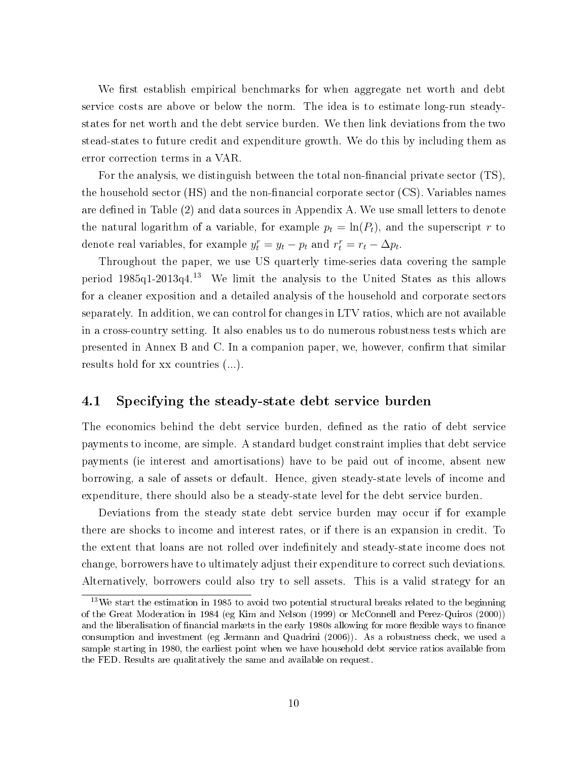We first establish empirical benchmarks for when aggregate net worth and debt service costs are above or below the norm. The idea is to estimate long-run steadystates for net worth and the debt service burden. We then link deviations from the two stead-states to future credit and expenditure growth. We do this by including them as error correction terms in a VAR.

For the analysis, we distinguish between the total non-financial private sector  $(TS)$ , the household sector  $(HS)$  and the non-financial corporate sector  $(CS)$ . Variables names are defined in Table (2) and data sources in Appendix A. We use small letters to denote the natural logarithm of a variable, for example  $p_t = \ln(P_t)$ , and the superscript r to denote real variables, for example  $y_t^r = y_t - p_t$  and  $r_t^r = r_t - \Delta p_t$ .

Throughout the paper, we use US quarterly time-series data covering the sample period 1985q1-2013q4.<sup>13</sup> We limit the analysis to the United States as this allows for a cleaner exposition and a detailed analysis of the household and corporate sectors separately. In addition, we can control for changes in LTV ratios, which are not available in a cross-country setting. It also enables us to do numerous robustness tests which are presented in Annex B and C. In a companion paper, we, however, confirm that similar results hold for xx countries (...).

#### 4.1 Specifying the steady-state debt service burden

The economics behind the debt service burden, defined as the ratio of debt service payments to income, are simple. A standard budget constraint implies that debt service payments (ie interest and amortisations) have to be paid out of income, absent new borrowing, a sale of assets or default. Hence, given steady-state levels of income and expenditure, there should also be a steady-state level for the debt service burden.

Deviations from the steady state debt service burden may occur if for example there are shocks to income and interest rates, or if there is an expansion in credit. To the extent that loans are not rolled over indenitely and steady-state income does not change, borrowers have to ultimately adjust their expenditure to correct such deviations. Alternatively, borrowers could also try to sell assets. This is a valid strategy for an

<sup>&</sup>lt;sup>13</sup>We start the estimation in 1985 to avoid two potential structural breaks related to the beginning of the Great Moderation in 1984 (eg Kim and Nelson (1999) or McConnell and Perez-Quiros (2000)) and the liberalisation of financial markets in the early 1980s allowing for more flexible ways to finance consumption and investment (eg Jermann and Quadrini (2006)). As a robustness check, we used a sample starting in 1980, the earliest point when we have household debt service ratios available from the FED. Results are qualitatively the same and available on request.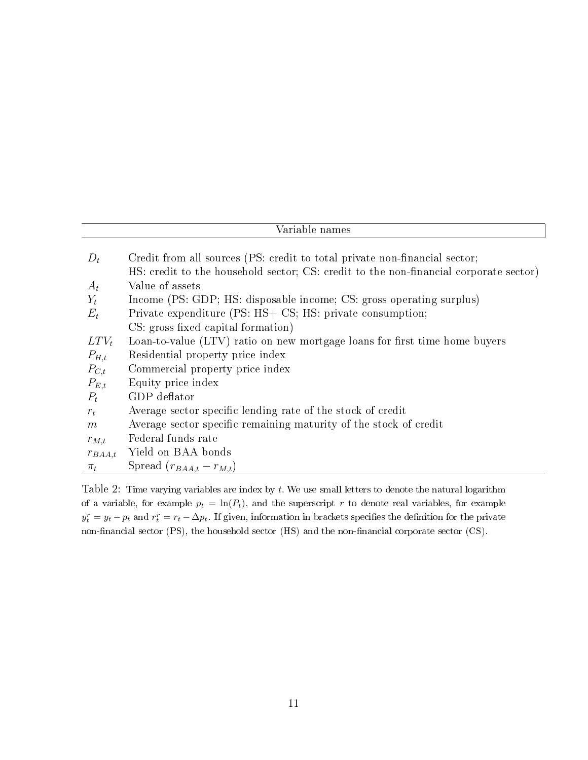| $D_t$       | Credit from all sources (PS: credit to total private non-financial sector;            |
|-------------|---------------------------------------------------------------------------------------|
|             | HS: credit to the household sector; CS: credit to the non-financial corporate sector) |
| $A_t$       | Value of assets                                                                       |
| $Y_t$       | Income (PS: GDP; HS: disposable income; CS: gross operating surplus)                  |
| $E_t$       | Private expenditure (PS: HS+ CS; HS: private consumption;                             |
|             | CS: gross fixed capital formation)                                                    |
| $LTV_t$     | Loan-to-value (LTV) ratio on new mortgage loans for first time home buyers            |
| $P_{H,t}$   | Residential property price index                                                      |
| $P_{C,t}$   | Commercial property price index                                                       |
| $P_{E,t}$   | Equity price index                                                                    |
| $P_t$       | GDP deflator                                                                          |
| $r_t$       | Average sector specific lending rate of the stock of credit                           |
| m           | Average sector specific remaining maturity of the stock of credit                     |
| $r_{M,t}$   | Federal funds rate                                                                    |
| $r_{BAA,t}$ | Yield on BAA bonds                                                                    |
| $\pi_t$     | Spread $(r_{BAA,t}-r_{M,t})$                                                          |

Table 2: Time varying variables are index by  $t$ . We use small letters to denote the natural logarithm of a variable, for example  $p_t = \ln(P_t)$ , and the superscript r to denote real variables, for example  $y_t^r = y_t - p_t$  and  $r_t^r = r_t - \Delta p_t$ . If given, information in brackets specifies the definition for the private non-financial sector (PS), the household sector (HS) and the non-financial corporate sector (CS).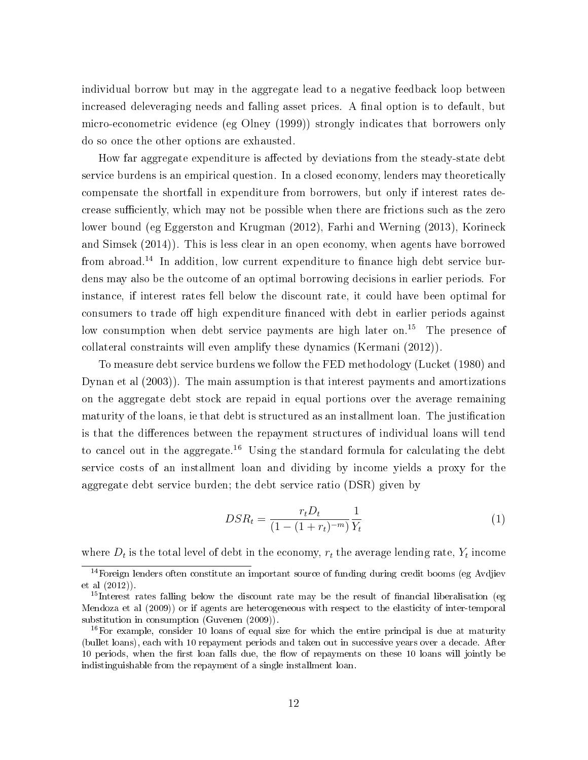individual borrow but may in the aggregate lead to a negative feedback loop between increased deleveraging needs and falling asset prices. A final option is to default, but micro-econometric evidence (eg Olney (1999)) strongly indicates that borrowers only do so once the other options are exhausted.

How far aggregate expenditure is affected by deviations from the steady-state debt service burdens is an empirical question. In a closed economy, lenders may theoretically compensate the shortfall in expenditure from borrowers, but only if interest rates decrease sufficiently, which may not be possible when there are frictions such as the zero lower bound (eg Eggerston and Krugman (2012), Farhi and Werning (2013), Korineck and Simsek (2014)). This is less clear in an open economy, when agents have borrowed from abroad.<sup>14</sup> In addition, low current expenditure to finance high debt service burdens may also be the outcome of an optimal borrowing decisions in earlier periods. For instance, if interest rates fell below the discount rate, it could have been optimal for consumers to trade off high expenditure financed with debt in earlier periods against low consumption when debt service payments are high later on.<sup>15</sup> The presence of collateral constraints will even amplify these dynamics (Kermani (2012)).

To measure debt service burdens we follow the FED methodology (Lucket (1980) and Dynan et al (2003)). The main assumption is that interest payments and amortizations on the aggregate debt stock are repaid in equal portions over the average remaining maturity of the loans, ie that debt is structured as an installment loan. The justication is that the differences between the repayment structures of individual loans will tend to cancel out in the aggregate.<sup>16</sup> Using the standard formula for calculating the debt service costs of an installment loan and dividing by income yields a proxy for the aggregate debt service burden; the debt service ratio (DSR) given by

$$
DSR_t = \frac{r_t D_t}{(1 - (1 + r_t)^{-m})} \frac{1}{Y_t}
$$
\n(1)

where  $D_t$  is the total level of debt in the economy,  $r_t$  the average lending rate,  $Y_t$  income

<sup>&</sup>lt;sup>14</sup>Foreign lenders often constitute an important source of funding during credit booms (eg Avdjiev et al (2012)).

 $15$ Interest rates falling below the discount rate may be the result of financial liberalisation (eg Mendoza et al (2009)) or if agents are heterogeneous with respect to the elasticity of inter-temporal substitution in consumption (Guvenen (2009)).

 $16$  For example, consider 10 loans of equal size for which the entire principal is due at maturity (bullet loans), each with 10 repayment periods and taken out in successive years over a decade. After 10 periods, when the first loan falls due, the flow of repayments on these 10 loans will jointly be indistinguishable from the repayment of a single installment loan.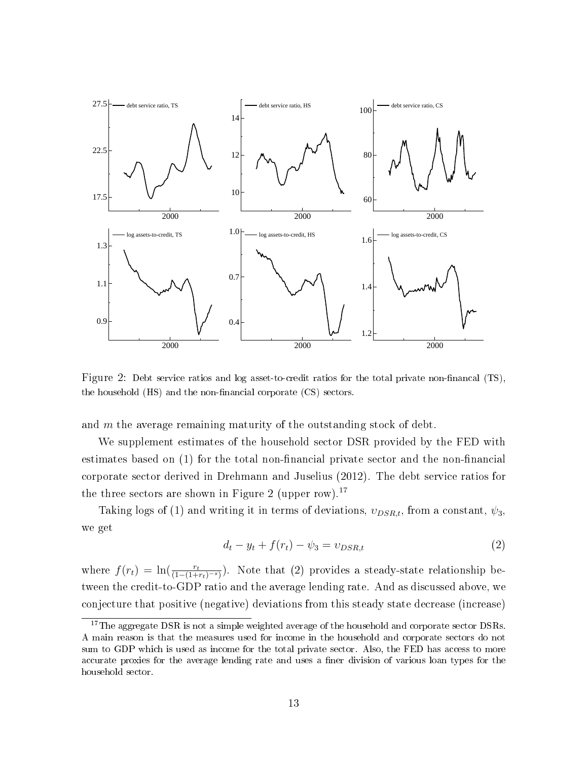

Figure 2: Debt service ratios and log asset-to-credit ratios for the total private non-financal (TS), the household  $(HS)$  and the non-financial corporate  $(CS)$  sectors.

and  $m$  the average remaining maturity of the outstanding stock of debt.

We supplement estimates of the household sector DSR provided by the FED with estimates based on  $(1)$  for the total non-financial private sector and the non-financial corporate sector derived in Drehmann and Juselius (2012). The debt service ratios for the three sectors are shown in Figure 2 (upper row).<sup>17</sup>

Taking logs of (1) and writing it in terms of deviations,  $v_{DSR,t}$ , from a constant,  $\psi_3$ , we get

$$
d_t - y_t + f(r_t) - \psi_3 = v_{DSR,t}
$$
\n(2)

where  $f(r_t) = \ln(\frac{r_t}{(1-(1+r_t)^{-s})})$ . Note that (2) provides a steady-state relationship between the credit-to-GDP ratio and the average lending rate. And as discussed above, we conjecture that positive (negative) deviations from this steady state decrease (increase)

 $17$ The aggregate DSR is not a simple weighted average of the household and corporate sector DSRs. A main reason is that the measures used for income in the household and corporate sectors do not sum to GDP which is used as income for the total private sector. Also, the FED has access to more accurate proxies for the average lending rate and uses a finer division of various loan types for the household sector.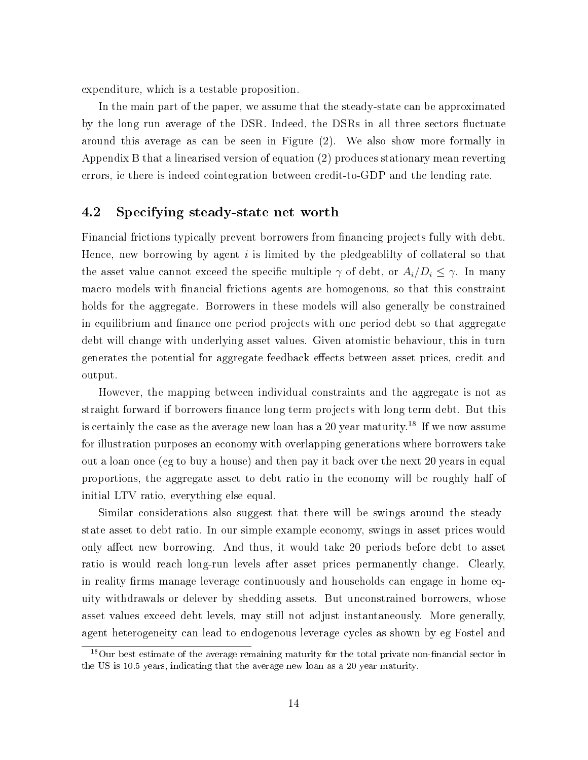expenditure, which is a testable proposition.

In the main part of the paper, we assume that the steady-state can be approximated by the long run average of the DSR. Indeed, the DSRs in all three sectors fluctuate around this average as can be seen in Figure (2). We also show more formally in Appendix B that a linearised version of equation (2) produces stationary mean reverting errors, ie there is indeed cointegration between credit-to-GDP and the lending rate.

#### 4.2 Specifying steady-state net worth

Financial frictions typically prevent borrowers from financing projects fully with debt. Hence, new borrowing by agent  $i$  is limited by the pledgeablilty of collateral so that the asset value cannot exceed the specific multiple  $\gamma$  of debt, or  $A_i/D_i \leq \gamma$ . In many macro models with nancial frictions agents are homogenous, so that this constraint holds for the aggregate. Borrowers in these models will also generally be constrained in equilibrium and finance one period projects with one period debt so that aggregate debt will change with underlying asset values. Given atomistic behaviour, this in turn generates the potential for aggregate feedback effects between asset prices, credit and output.

However, the mapping between individual constraints and the aggregate is not as straight forward if borrowers finance long term projects with long term debt. But this is certainly the case as the average new loan has a 20 year maturity.<sup>18</sup> If we now assume for illustration purposes an economy with overlapping generations where borrowers take out a loan once (eg to buy a house) and then pay it back over the next 20 years in equal proportions, the aggregate asset to debt ratio in the economy will be roughly half of initial LTV ratio, everything else equal.

Similar considerations also suggest that there will be swings around the steadystate asset to debt ratio. In our simple example economy, swings in asset prices would only affect new borrowing. And thus, it would take 20 periods before debt to asset ratio is would reach long-run levels after asset prices permanently change. Clearly, in reality firms manage leverage continuously and households can engage in home equity withdrawals or delever by shedding assets. But unconstrained borrowers, whose asset values exceed debt levels, may still not adjust instantaneously. More generally, agent heterogeneity can lead to endogenous leverage cycles as shown by eg Fostel and

 $18$ Our best estimate of the average remaining maturity for the total private non-financial sector in the US is 10.5 years, indicating that the average new loan as a 20 year maturity.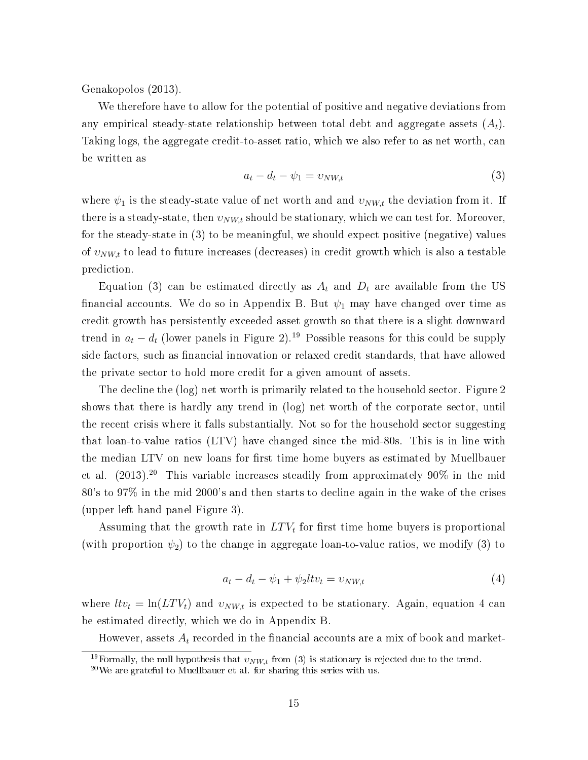Genakopolos (2013).

We therefore have to allow for the potential of positive and negative deviations from any empirical steady-state relationship between total debt and aggregate assets  $(A_t)$ . Taking logs, the aggregate credit-to-asset ratio, which we also refer to as net worth, can be written as

$$
a_t - d_t - \psi_1 = v_{NW,t} \tag{3}
$$

where  $\psi_1$  is the steady-state value of net worth and and  $v_{NW,t}$  the deviation from it. If there is a steady-state, then  $v_{NW,t}$  should be stationary, which we can test for. Moreover, for the steady-state in (3) to be meaningful, we should expect positive (negative) values of  $v_{NW,t}$  to lead to future increases (decreases) in credit growth which is also a testable prediction.

Equation (3) can be estimated directly as  $A_t$  and  $D_t$  are available from the US financial accounts. We do so in Appendix B. But  $\psi_1$  may have changed over time as credit growth has persistently exceeded asset growth so that there is a slight downward trend in  $a_t - d_t$  (lower panels in Figure 2).<sup>19</sup> Possible reasons for this could be supply side factors, such as financial innovation or relaxed credit standards, that have allowed the private sector to hold more credit for a given amount of assets.

The decline the (log) net worth is primarily related to the household sector. Figure 2 shows that there is hardly any trend in (log) net worth of the corporate sector, until the recent crisis where it falls substantially. Not so for the household sector suggesting that loan-to-value ratios (LTV) have changed since the mid-80s. This is in line with the median LTV on new loans for first time home buyers as estimated by Muellbauer et al.  $(2013).^{20}$  This variable increases steadily from approximately 90% in the mid 80's to 97% in the mid 2000's and then starts to decline again in the wake of the crises (upper left hand panel Figure 3).

Assuming that the growth rate in  $LTV_t$  for first time home buyers is proportional (with proportion  $\psi_2$ ) to the change in aggregate loan-to-value ratios, we modify (3) to

$$
a_t - d_t - \psi_1 + \psi_2 l t v_t = v_{NW,t} \tag{4}
$$

where  $l t v_t = \ln(L T V_t)$  and  $v_{NW,t}$  is expected to be stationary. Again, equation 4 can be estimated directly, which we do in Appendix B.

However, assets  $A_t$  recorded in the financial accounts are a mix of book and market-

<sup>&</sup>lt;sup>19</sup>Formally, the null hypothesis that  $v_{NW,t}$  from (3) is stationary is rejected due to the trend.

 $20$ We are grateful to Muellbauer et al. for sharing this series with us.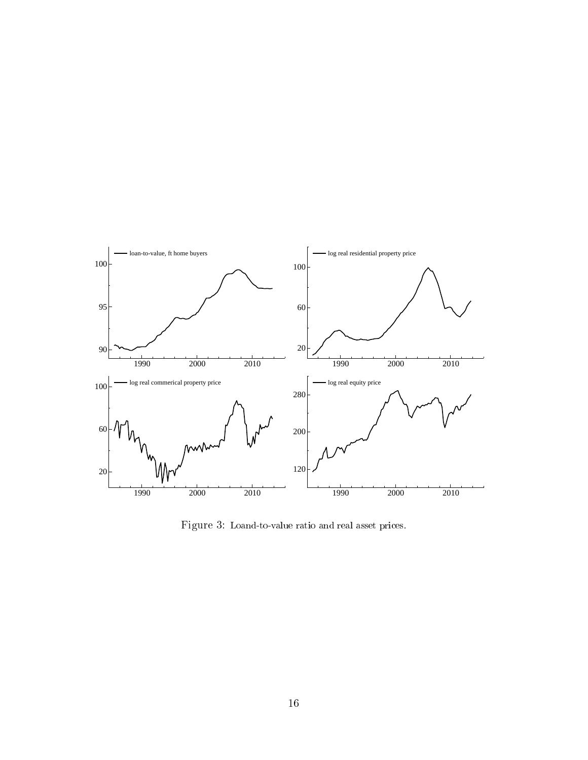

Figure 3: Loand-to-value ratio and real asset prices.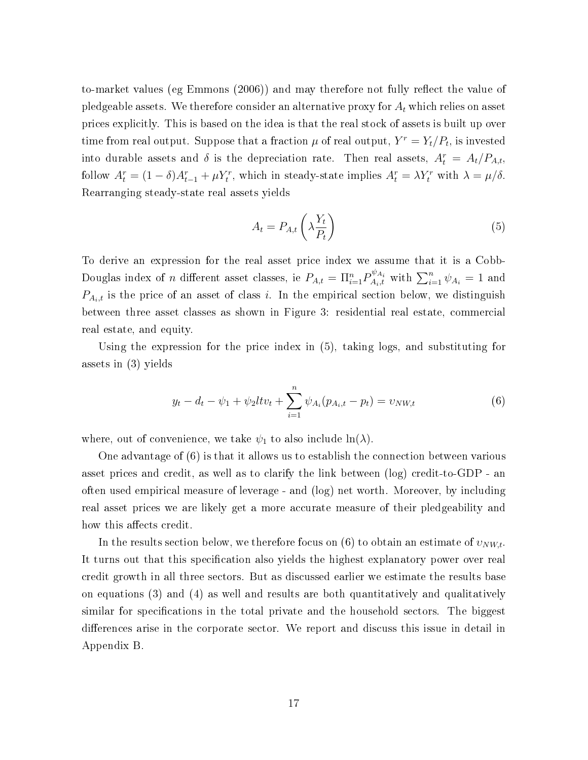to-market values (eg Emmons (2006)) and may therefore not fully reflect the value of pledgeable assets. We therefore consider an alternative proxy for  $A_t$  which relies on asset prices explicitly. This is based on the idea is that the real stock of assets is built up over time from real output. Suppose that a fraction  $\mu$  of real output,  $Y^r = Y_t/P_t$ , is invested into durable assets and  $\delta$  is the depreciation rate. Then real assets,  $A_t^r = A_t/P_{A,t}$ , follow  $A_t^r = (1 - \delta)A_{t-1}^r + \mu Y_t^r$ , which in steady-state implies  $A_t^r = \lambda Y_t^r$  with  $\lambda = \mu/\delta$ . Rearranging steady-state real assets yields

$$
A_t = P_{A,t} \left( \lambda \frac{Y_t}{P_t} \right) \tag{5}
$$

To derive an expression for the real asset price index we assume that it is a Cobb-Douglas index of *n* different asset classes, ie  $P_{A,t} = \prod_{i=1}^{n} P_{A_i,t}^{\psi_{A_i}}$  with  $\sum_{i=1}^{n} \psi_{A_i} = 1$  and  $P_{A_i,t}$  is the price of an asset of class i. In the empirical section below, we distinguish between three asset classes as shown in Figure 3: residential real estate, commercial real estate, and equity.

Using the expression for the price index in (5), taking logs, and substituting for assets in (3) yields

$$
y_t - d_t - \psi_1 + \psi_2 l t v_t + \sum_{i=1}^n \psi_{A_i}(p_{A_i, t} - p_t) = v_{NW, t}
$$
 (6)

where, out of convenience, we take  $\psi_1$  to also include  $\ln(\lambda)$ .

One advantage of (6) is that it allows us to establish the connection between various asset prices and credit, as well as to clarify the link between (log) credit-to-GDP - an often used empirical measure of leverage - and (log) net worth. Moreover, by including real asset prices we are likely get a more accurate measure of their pledgeability and how this affects credit.

In the results section below, we therefore focus on (6) to obtain an estimate of  $v_{NW,t}$ . It turns out that this specification also yields the highest explanatory power over real credit growth in all three sectors. But as discussed earlier we estimate the results base on equations (3) and (4) as well and results are both quantitatively and qualitatively similar for specifications in the total private and the household sectors. The biggest differences arise in the corporate sector. We report and discuss this issue in detail in Appendix B.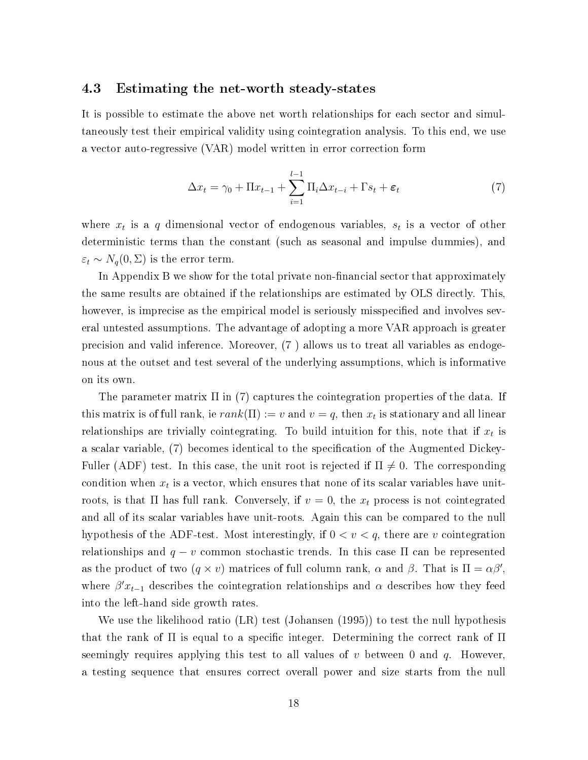#### 4.3 Estimating the net-worth steady-states

It is possible to estimate the above net worth relationships for each sector and simultaneously test their empirical validity using cointegration analysis. To this end, we use a vector auto-regressive (VAR) model written in error correction form

$$
\Delta x_t = \gamma_0 + \Pi x_{t-1} + \sum_{i=1}^{l-1} \Pi_i \Delta x_{t-i} + \Gamma s_t + \varepsilon_t \tag{7}
$$

where  $x_t$  is a q dimensional vector of endogenous variables,  $s_t$  is a vector of other deterministic terms than the constant (such as seasonal and impulse dummies), and  $\varepsilon_t \sim N_q(0,\Sigma)$  is the error term.

In Appendix B we show for the total private non-financial sector that approximately the same results are obtained if the relationships are estimated by OLS directly. This, however, is imprecise as the empirical model is seriously misspecified and involves several untested assumptions. The advantage of adopting a more VAR approach is greater precision and valid inference. Moreover, (7 ) allows us to treat all variables as endogenous at the outset and test several of the underlying assumptions, which is informative on its own.

The parameter matrix  $\Pi$  in (7) captures the cointegration properties of the data. If this matrix is of full rank, ie  $rank(\Pi) := v$  and  $v = q$ , then  $x_t$  is stationary and all linear relationships are trivially cointegrating. To build intuition for this, note that if  $x_t$  is a scalar variable, (7) becomes identical to the specification of the Augmented Dickey-Fuller (ADF) test. In this case, the unit root is rejected if  $\Pi \neq 0$ . The corresponding condition when  $x_t$  is a vector, which ensures that none of its scalar variables have unitroots, is that  $\Pi$  has full rank. Conversely, if  $v = 0$ , the  $x_t$  process is not cointegrated and all of its scalar variables have unit-roots. Again this can be compared to the null hypothesis of the ADF-test. Most interestingly, if  $0 < v < q$ , there are v cointegration relationships and  $q - v$  common stochastic trends. In this case  $\Pi$  can be represented as the product of two  $(q \times v)$  matrices of full column rank,  $\alpha$  and  $\beta$ . That is  $\Pi = \alpha \beta'$ , where  $\beta' x_{t-1}$  describes the cointegration relationships and  $\alpha$  describes how they feed into the left-hand side growth rates.

We use the likelihood ratio (LR) test (Johansen (1995)) to test the null hypothesis that the rank of  $\Pi$  is equal to a specific integer. Determining the correct rank of  $\Pi$ seemingly requires applying this test to all values of v between 0 and q. However, a testing sequence that ensures correct overall power and size starts from the null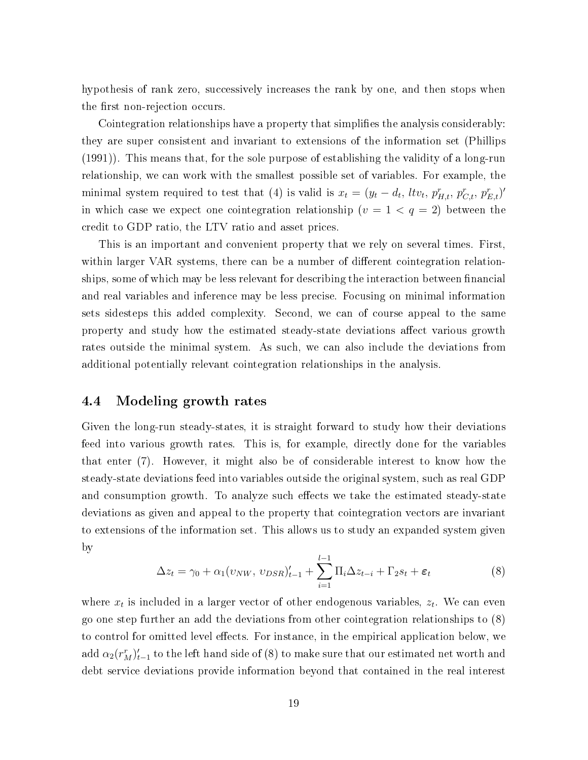hypothesis of rank zero, successively increases the rank by one, and then stops when the first non-rejection occurs.

Cointegration relationships have a property that simplies the analysis considerably: they are super consistent and invariant to extensions of the information set (Phillips (1991)). This means that, for the sole purpose of establishing the validity of a long-run relationship, we can work with the smallest possible set of variables. For example, the minimal system required to test that (4) is valid is  $x_t = (y_t - d_t, \, l t v_t, \, p_{H,t}^r, \, p_{C,t}^r, \, p_{E,t}^r)'$ in which case we expect one cointegration relationship  $(v = 1 < q = 2)$  between the credit to GDP ratio, the LTV ratio and asset prices.

This is an important and convenient property that we rely on several times. First, within larger VAR systems, there can be a number of different cointegration relationships, some of which may be less relevant for describing the interaction between financial and real variables and inference may be less precise. Focusing on minimal information sets sidesteps this added complexity. Second, we can of course appeal to the same property and study how the estimated steady-state deviations affect various growth rates outside the minimal system. As such, we can also include the deviations from additional potentially relevant cointegration relationships in the analysis.

#### 4.4 Modeling growth rates

Given the long-run steady-states, it is straight forward to study how their deviations feed into various growth rates. This is, for example, directly done for the variables that enter (7). However, it might also be of considerable interest to know how the steady-state deviations feed into variables outside the original system, such as real GDP and consumption growth. To analyze such effects we take the estimated steady-state deviations as given and appeal to the property that cointegration vectors are invariant to extensions of the information set. This allows us to study an expanded system given by

$$
\Delta z_t = \gamma_0 + \alpha_1 (v_{NW}, v_{DSR})'_{t-1} + \sum_{i=1}^{l-1} \Pi_i \Delta z_{t-i} + \Gamma_2 s_t + \varepsilon_t \tag{8}
$$

where  $x_t$  is included in a larger vector of other endogenous variables,  $z_t$ . We can even go one step further an add the deviations from other cointegration relationships to (8) to control for omitted level effects. For instance, in the empirical application below, we  $\operatorname{add}\alpha_2(r_M^r)_{t-1}'$  to the left hand side of  $(8)$  to make sure that our estimated net worth and debt service deviations provide information beyond that contained in the real interest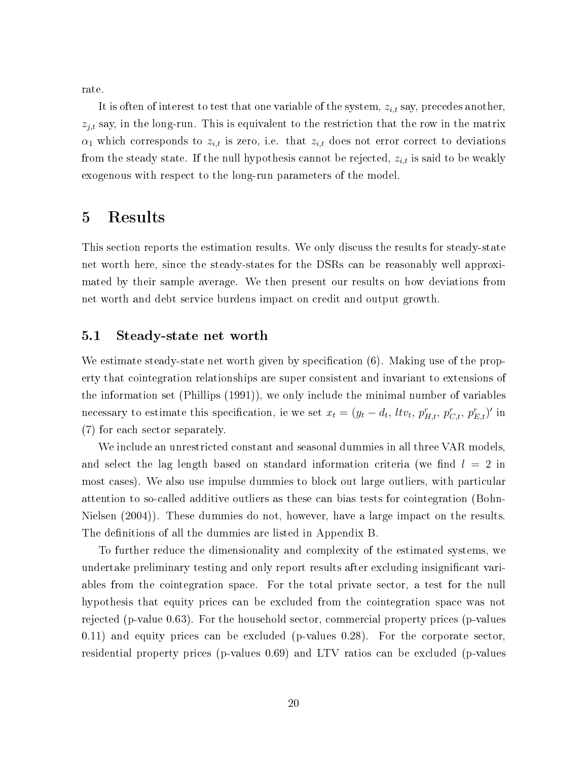rate.

It is often of interest to test that one variable of the system,  $z_{i,t}$  say, precedes another,  $z_{j,t}$  say, in the long-run. This is equivalent to the restriction that the row in the matrix  $\alpha_1$  which corresponds to  $z_{i,t}$  is zero, i.e. that  $z_{i,t}$  does not error correct to deviations from the steady state. If the null hypothesis cannot be rejected,  $z_{i,t}$  is said to be weakly exogenous with respect to the long-run parameters of the model.

### 5 Results

This section reports the estimation results. We only discuss the results for steady-state net worth here, since the steady-states for the DSRs can be reasonably well approximated by their sample average. We then present our results on how deviations from net worth and debt service burdens impact on credit and output growth.

#### 5.1 Steady-state net worth

We estimate steady-state net worth given by specification  $(6)$ . Making use of the property that cointegration relationships are super consistent and invariant to extensions of the information set (Phillips (1991)), we only include the minimal number of variables necessary to estimate this specification, ie we set  $x_t = (y_t - d_t, \, l t v_t, \, p_{H,t}^r, \, p_{C,t}^r, \, p_{E,t}^r)'$  in (7) for each sector separately.

We include an unrestricted constant and seasonal dummies in all three VAR models, and select the lag length based on standard information criteria (we find  $l = 2$  in most cases). We also use impulse dummies to block out large outliers, with particular attention to so-called additive outliers as these can bias tests for cointegration (Bohn-Nielsen (2004)). These dummies do not, however, have a large impact on the results. The definitions of all the dummies are listed in Appendix B.

To further reduce the dimensionality and complexity of the estimated systems, we undertake preliminary testing and only report results after excluding insignificant variables from the cointegration space. For the total private sector, a test for the null hypothesis that equity prices can be excluded from the cointegration space was not rejected (p-value 0.63). For the household sector, commercial property prices (p-values 0.11) and equity prices can be excluded (p-values 0.28). For the corporate sector, residential property prices (p-values 0.69) and LTV ratios can be excluded (p-values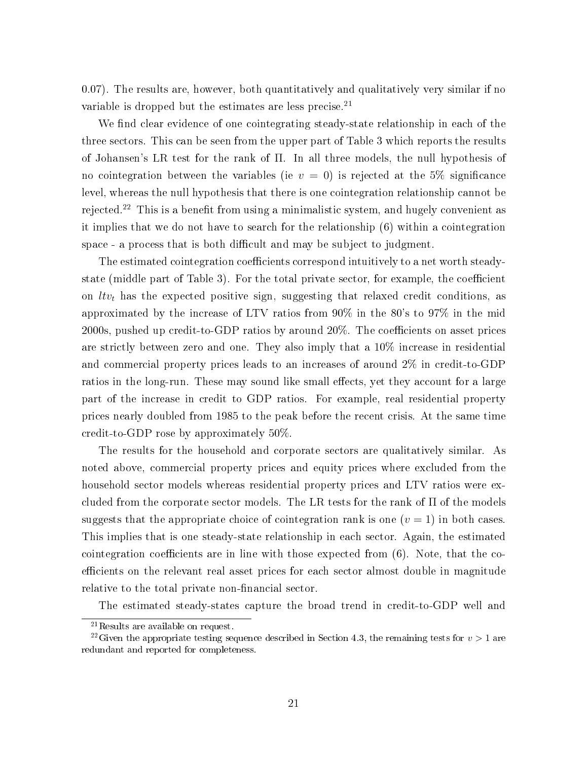0.07). The results are, however, both quantitatively and qualitatively very similar if no variable is dropped but the estimates are less precise.<sup>21</sup>

We find clear evidence of one cointegrating steady-state relationship in each of the three sectors. This can be seen from the upper part of Table 3 which reports the results of Johansen's LR test for the rank of Π. In all three models, the null hypothesis of no cointegration between the variables (ie  $v = 0$ ) is rejected at the 5% significance level, whereas the null hypothesis that there is one cointegration relationship cannot be rejected.<sup>22</sup> This is a benefit from using a minimalistic system, and hugely convenient as it implies that we do not have to search for the relationship (6) within a cointegration space - a process that is both difficult and may be subject to judgment.

The estimated cointegration coefficients correspond intuitively to a net worth steadystate (middle part of Table 3). For the total private sector, for example, the coefficient on  $l t v_t$  has the expected positive sign, suggesting that relaxed credit conditions, as approximated by the increase of LTV ratios from 90% in the 80's to 97% in the mid  $2000s$ , pushed up credit-to-GDP ratios by around  $20\%$ . The coefficients on asset prices are strictly between zero and one. They also imply that a 10% increase in residential and commercial property prices leads to an increases of around 2% in credit-to-GDP ratios in the long-run. These may sound like small effects, yet they account for a large part of the increase in credit to GDP ratios. For example, real residential property prices nearly doubled from 1985 to the peak before the recent crisis. At the same time credit-to-GDP rose by approximately 50%.

The results for the household and corporate sectors are qualitatively similar. As noted above, commercial property prices and equity prices where excluded from the household sector models whereas residential property prices and LTV ratios were excluded from the corporate sector models. The LR tests for the rank of  $\Pi$  of the models suggests that the appropriate choice of cointegration rank is one  $(v = 1)$  in both cases. This implies that is one steady-state relationship in each sector. Again, the estimated cointegration coefficients are in line with those expected from  $(6)$ . Note, that the coefficients on the relevant real asset prices for each sector almost double in magnitude relative to the total private non-financial sector.

The estimated steady-states capture the broad trend in credit-to-GDP well and

<sup>21</sup>Results are available on request.

<sup>&</sup>lt;sup>22</sup>Given the appropriate testing sequence described in Section 4.3, the remaining tests for  $v > 1$  are redundant and reported for completeness.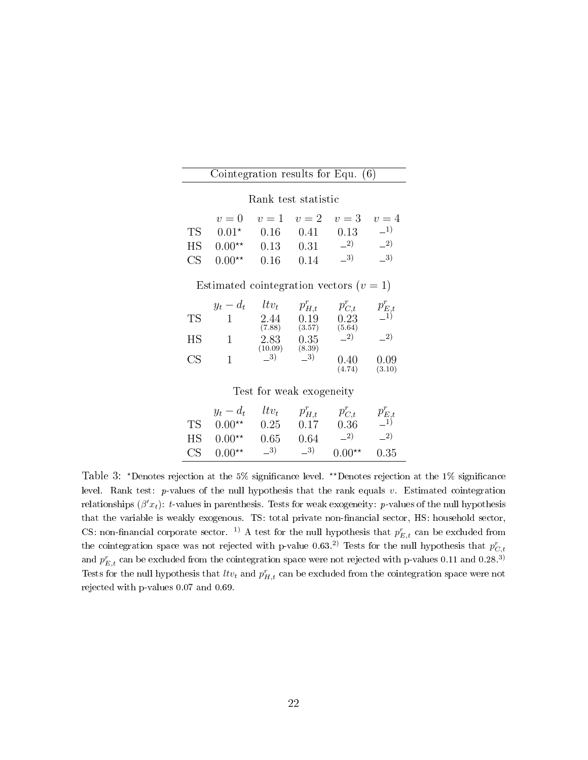|    | Cointegration results for Equ. $(6)$    |                                   |        |                         |             |  |  |  |  |
|----|-----------------------------------------|-----------------------------------|--------|-------------------------|-------------|--|--|--|--|
|    | Rank test statistic                     |                                   |        |                         |             |  |  |  |  |
|    | $v=0$                                   | $v=1$                             | $v=2$  | $v=3$                   | $v=4$       |  |  |  |  |
| TS | $0.01^{\star}$                          | 0.16                              | 0.41   | 0.13                    | $-1)$       |  |  |  |  |
| ΗS | $0.00**$                                | 0.13                              | 0.31   | $-2)$                   | $-2)$       |  |  |  |  |
| CS | $0.00**$                                | 0.16                              | 0.14   | $-3)$                   | $-3)$       |  |  |  |  |
|    | Estimated cointegration vectors $(v=1)$ |                                   |        |                         |             |  |  |  |  |
|    | $y_t - d_t$                             | $ltv_t$                           |        | $p_{H,t}^r$ $p_{C,t}^r$ | $p_{E,t}^r$ |  |  |  |  |
| TS | $\begin{array}{c} 1 \end{array}$        | 2.44                              | 0.19   | 0.23                    |             |  |  |  |  |
|    |                                         | (7.88)                            | (3.57) | (5.64)<br>$-2)$         | $-2)$       |  |  |  |  |
| ΗS | $\overline{1}$                          | $2.83$ 0.35<br>$(10.09)$ $(8.39)$ |        |                         |             |  |  |  |  |
| CS | 1                                       | $-3)$                             | $\_3)$ | $0.40\,$                | 0.09        |  |  |  |  |
|    |                                         |                                   |        | (4.74)                  | (3.10)      |  |  |  |  |
|    | Test for weak exogeneity                |                                   |        |                         |             |  |  |  |  |
|    | $u = d$ , $Hv$ , $n^r$ $n^r$            |                                   |        |                         | $r^{r}$     |  |  |  |  |

|    | $y_t - d_t$ | $ltv_t$ | $p_{H,t}^r$ | $p_{C,t}^r$ | $p_{E,t}^r \overline{=}1)$ |
|----|-------------|---------|-------------|-------------|----------------------------|
| ТS | $0.00**$    | 0.25    | 0.17        | 0.36        |                            |
| НS | $0.00**$    | 0.65    | 0.64        | $-2)$       | $\_{2}$                    |
| CS | $0.00**$    | $-3)$   | $\_{3}$     | $0.00**$    | 0.35                       |
|    |             |         |             |             |                            |

Table 3: \*Denotes rejection at the 5% significance level. \*\*Denotes rejection at the 1% significance level. Rank test:  $p$ -values of the null hypothesis that the rank equals v. Estimated cointegration relationships  $(\beta' x_t)$ : t-values in parenthesis. Tests for weak exogeneity: p-values of the null hypothesis that the variable is weakly exogenous. TS: total private non-financial sector, HS: household sector, CS: non-financial corporate sector. <sup>1</sup> A test for the null hypothesis that  $p_{E,t}^r$  can be excluded from the cointegration space was not rejected with p-value 0.63.<sup>2)</sup> Tests for the null hypothesis that  $p_{C,t}^r$ and  $p_{E,t}^r$  can be excluded from the cointegration space were not rejected with p-values 0.11 and 0.28.<sup>3)</sup> Tests for the null hypothesis that  $l t v_t$  and  $p_{H,t}^r$  can be excluded from the cointegration space were not rejected with p-values 0.07 and 0.69.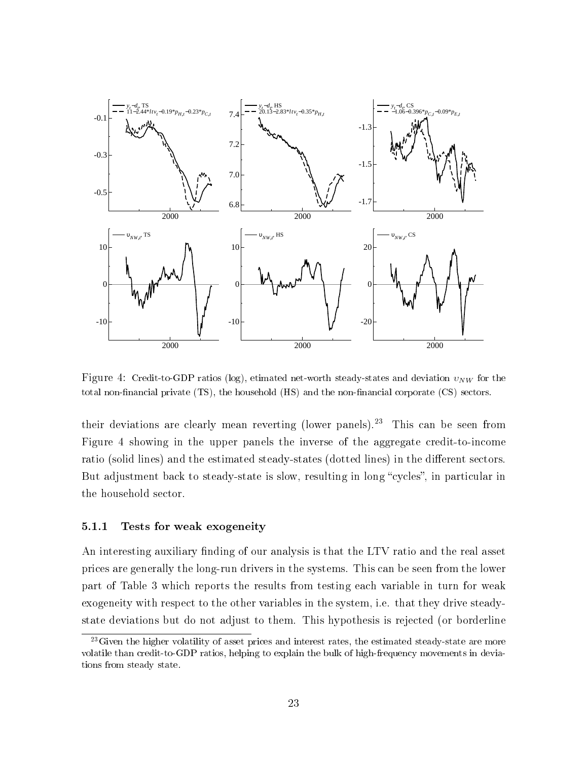

Figure 4: Credit-to-GDP ratios (log), etimated net-worth steady-states and deviation  $v_{NW}$  for the total non-financial private (TS), the household (HS) and the non-financial corporate (CS) sectors.

their deviations are clearly mean reverting (lower panels).<sup>23</sup> This can be seen from Figure 4 showing in the upper panels the inverse of the aggregate credit-to-income ratio (solid lines) and the estimated steady-states (dotted lines) in the different sectors. But adjustment back to steady-state is slow, resulting in long "cycles", in particular in the household sector.

#### 5.1.1 Tests for weak exogeneity

An interesting auxiliary finding of our analysis is that the LTV ratio and the real asset prices are generally the long-run drivers in the systems. This can be seen from the lower part of Table 3 which reports the results from testing each variable in turn for weak exogeneity with respect to the other variables in the system, i.e. that they drive steadystate deviations but do not adjust to them. This hypothesis is rejected (or borderline

 $23$ Given the higher volatility of asset prices and interest rates, the estimated steady-state are more volatile than credit-to-GDP ratios, helping to explain the bulk of high-frequency movements in deviations from steady state.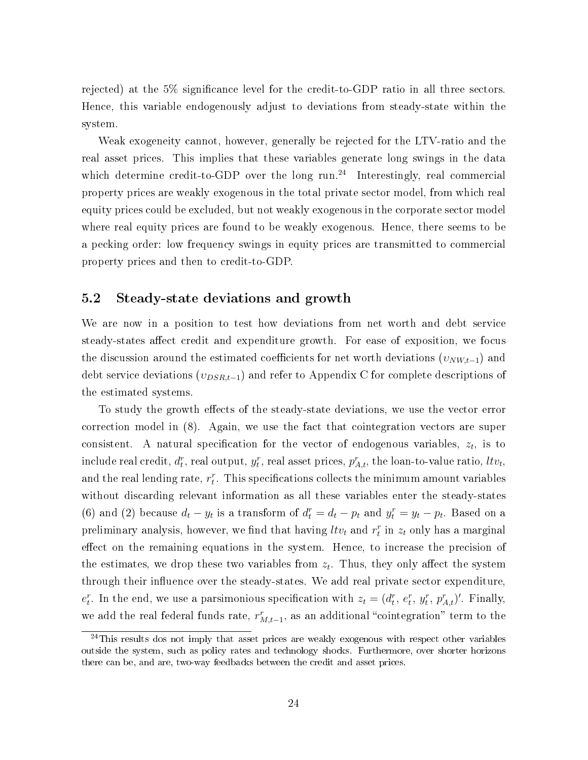rejected) at the 5% signicance level for the credit-to-GDP ratio in all three sectors. Hence, this variable endogenously adjust to deviations from steady-state within the system.

Weak exogeneity cannot, however, generally be rejected for the LTV-ratio and the real asset prices. This implies that these variables generate long swings in the data which determine credit-to-GDP over the long run.<sup>24</sup> Interestingly, real commercial property prices are weakly exogenous in the total private sector model, from which real equity prices could be excluded, but not weakly exogenous in the corporate sector model where real equity prices are found to be weakly exogenous. Hence, there seems to be a pecking order: low frequency swings in equity prices are transmitted to commercial property prices and then to credit-to-GDP.

#### 5.2 Steady-state deviations and growth

We are now in a position to test how deviations from net worth and debt service steady-states affect credit and expenditure growth. For ease of exposition, we focus the discussion around the estimated coefficients for net worth deviations  $(v_{NW,t-1})$  and debt service deviations  $(v_{DSR,t-1})$  and refer to Appendix C for complete descriptions of the estimated systems.

To study the growth effects of the steady-state deviations, we use the vector error correction model in (8). Again, we use the fact that cointegration vectors are super consistent. A natural specification for the vector of endogenous variables,  $z_t$ , is to  ${\rm include\; real\; credit},$   $d_t^r,$  real  ${\rm output},$   $y_t^r,$  real asset prices,  $p_{A,t}^r,$  the loan-to-value ratio,  $ltv_t,$ and the real lending rate,  $r_t^r$ . This specifications collects the minimum amount variables without discarding relevant information as all these variables enter the steady-states (6) and (2) because  $d_t - y_t$  is a transform of  $d_t^r = d_t - p_t$  and  $y_t^r = y_t - p_t$ . Based on a preliminary analysis, however, we find that having  $l t v_t$  and  $r_t^r$  in  $z_t$  only has a marginal effect on the remaining equations in the system. Hence, to increase the precision of the estimates, we drop these two variables from  $z_t$ . Thus, they only affect the system through their influence over the steady-states. We add real private sector expenditure,  $e_t^r$ . In the end, we use a parsimonious specification with  $z_t = (d_t^r, e_t^r, y_t^r, p_{A,t}^r)'$ . Finally, we add the real federal funds rate,  $r_{M,t-1}^r$ , as an additional "cointegration" term to the

 $24$ This results dos not imply that asset prices are weakly exogenous with respect other variables outside the system, such as policy rates and technology shocks. Furthermore, over shorter horizons there can be, and are, two-way feedbacks between the credit and asset prices.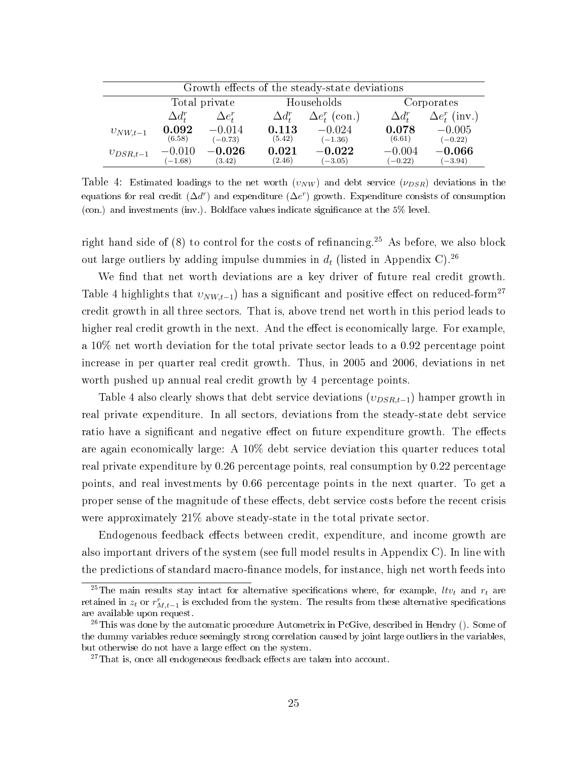| Growth effects of the steady-state deviations |                                           |                       |                       |                           |                       |                       |  |  |
|-----------------------------------------------|-------------------------------------------|-----------------------|-----------------------|---------------------------|-----------------------|-----------------------|--|--|
|                                               | Total private<br>Households<br>Corporates |                       |                       |                           |                       |                       |  |  |
|                                               | $\Delta d^r_t$                            | $\Delta e_t^r$        | $\Delta d^r_t$        | $\Delta e_t^r$ (con.)     | $\Delta d^r_{\tau}$   | $\Delta e_t^r$ (inv.) |  |  |
| $v_{NW,t-1}$                                  | 0.092<br>(6.58)                           | $-0.014$<br>$(-0.73)$ | 0.113<br>(5.42)       | $-0.024$<br>$(-1.36)$     | 0.078<br>(6.61)       | $-0.005$<br>$(-0.22)$ |  |  |
| $v_{DSR,t-1}$                                 | $-0.010$<br>$(-1.68)$                     | $-0.026\,$<br>(3.42)  | $\,0.021\,$<br>(2.46) | $\bf -0.022$<br>$(-3.05)$ | $-0.004$<br>$(-0.22)$ | $-0.066$<br>$(-3.94)$ |  |  |

Table 4: Estimated loadings to the net worth  $(v_{NW})$  and debt service  $(v_{DSR})$  deviations in the equations for real credit  $(\Delta d^r)$  and expenditure  $(\Delta e^r)$  growth. Expenditure consists of consumption (con.) and investments (inv.). Boldface values indicate significance at the  $5\%$  level.

right hand side of  $(8)$  to control for the costs of refinancing.<sup>25</sup> As before, we also block out large outliers by adding impulse dummies in  $d_t$  (listed in Appendix C).<sup>26</sup>

We find that net worth deviations are a key driver of future real credit growth. Table 4 highlights that  $v_{NW,t-1}$ ) has a significant and positive effect on reduced-form<sup>27</sup> credit growth in all three sectors. That is, above trend net worth in this period leads to higher real credit growth in the next. And the effect is economically large. For example, a 10% net worth deviation for the total private sector leads to a 0.92 percentage point increase in per quarter real credit growth. Thus, in 2005 and 2006, deviations in net worth pushed up annual real credit growth by 4 percentage points.

Table 4 also clearly shows that debt service deviations  $(v_{DSR,t-1})$  hamper growth in real private expenditure. In all sectors, deviations from the steady-state debt service ratio have a significant and negative effect on future expenditure growth. The effects are again economically large: A 10% debt service deviation this quarter reduces total real private expenditure by 0.26 percentage points, real consumption by 0.22 percentage points, and real investments by 0.66 percentage points in the next quarter. To get a proper sense of the magnitude of these effects, debt service costs before the recent crisis were approximately 21% above steady-state in the total private sector.

Endogenous feedback effects between credit, expenditure, and income growth are also important drivers of the system (see full model results in Appendix C). In line with the predictions of standard macro-finance models, for instance, high net worth feeds into

<sup>&</sup>lt;sup>25</sup>The main results stay intact for alternative specifications where, for example,  $l t v_t$  and  $r_t$  are retained in  $z_t$  or  $r^r_{M,t-1}$  is excluded from the system. The results from these alternative specifications are available upon request.

<sup>&</sup>lt;sup>26</sup>This was done by the automatic procedure Autometrix in PcGive, described in Hendry (). Some of the dummy variables reduce seemingly strong correlation caused by joint large outliers in the variables, but otherwise do not have a large effect on the system.

 $27$ That is, once all endogeneous feedback effects are taken into account.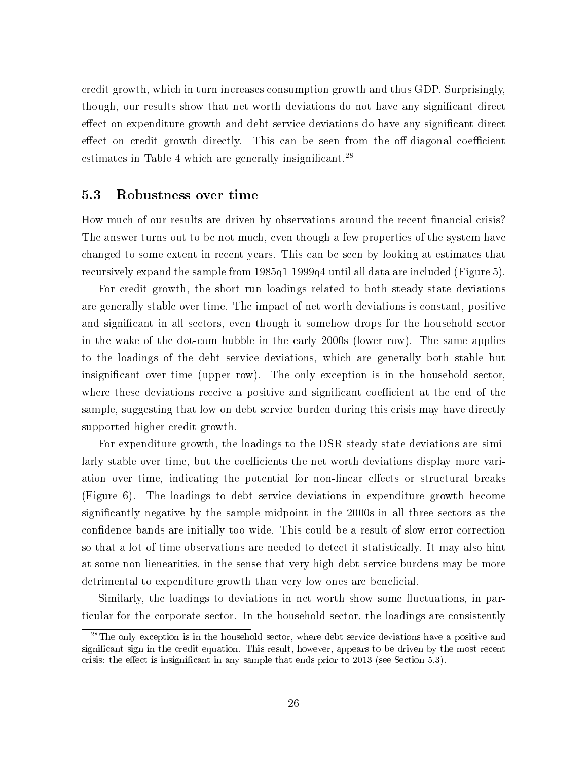credit growth, which in turn increases consumption growth and thus GDP. Surprisingly, though, our results show that net worth deviations do not have any signicant direct effect on expenditure growth and debt service deviations do have any significant direct effect on credit growth directly. This can be seen from the off-diagonal coefficient estimates in Table 4 which are generally insignificant.<sup>28</sup>

#### 5.3 Robustness over time

How much of our results are driven by observations around the recent financial crisis? The answer turns out to be not much, even though a few properties of the system have changed to some extent in recent years. This can be seen by looking at estimates that recursively expand the sample from 1985q1-1999q4 until all data are included (Figure 5).

For credit growth, the short run loadings related to both steady-state deviations are generally stable over time. The impact of net worth deviations is constant, positive and significant in all sectors, even though it somehow drops for the household sector in the wake of the dot-com bubble in the early 2000s (lower row). The same applies to the loadings of the debt service deviations, which are generally both stable but insignificant over time (upper row). The only exception is in the household sector, where these deviations receive a positive and significant coefficient at the end of the sample, suggesting that low on debt service burden during this crisis may have directly supported higher credit growth.

For expenditure growth, the loadings to the DSR steady-state deviations are similarly stable over time, but the coefficients the net worth deviations display more variation over time, indicating the potential for non-linear effects or structural breaks (Figure 6). The loadings to debt service deviations in expenditure growth become signicantly negative by the sample midpoint in the 2000s in all three sectors as the confidence bands are initially too wide. This could be a result of slow error correction so that a lot of time observations are needed to detect it statistically. It may also hint at some non-lienearities, in the sense that very high debt service burdens may be more detrimental to expenditure growth than very low ones are beneficial.

Similarly, the loadings to deviations in net worth show some fluctuations, in particular for the corporate sector. In the household sector, the loadings are consistently

<sup>&</sup>lt;sup>28</sup>The only exception is in the household sector, where debt service deviations have a positive and significant sign in the credit equation. This result, however, appears to be driven by the most recent crisis: the effect is insignificant in any sample that ends prior to  $2013$  (see Section 5.3).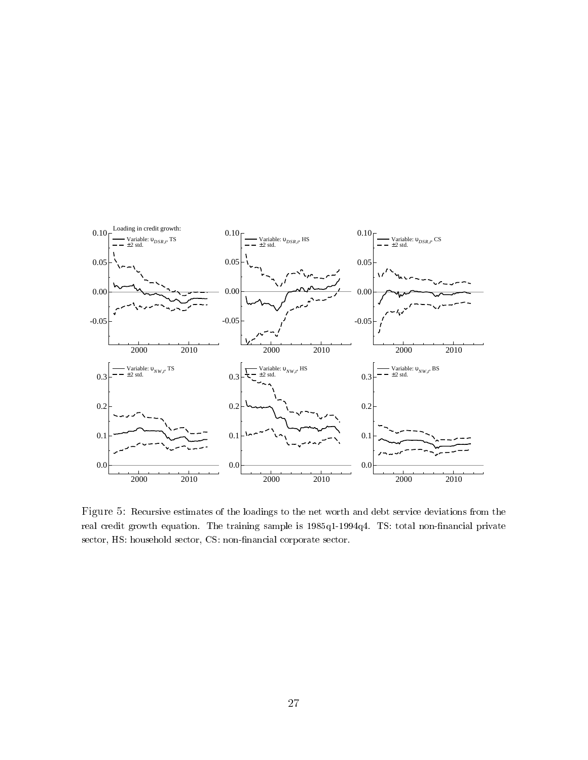

Figure 5: Recursive estimates of the loadings to the net worth and debt service deviations from the real credit growth equation. The training sample is 1985q1-1994q4. TS: total non-financial private sector, HS: household sector, CS: non-financial corporate sector.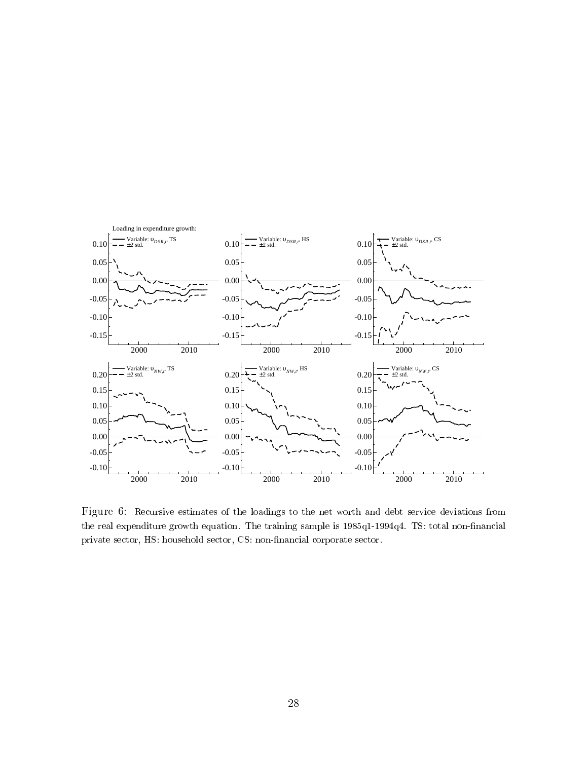

Figure 6: Recursive estimates of the loadings to the net worth and debt service deviations from the real expenditure growth equation. The training sample is 1985q1-1994q4. TS: total non-financial private sector, HS: household sector, CS: non-financial corporate sector.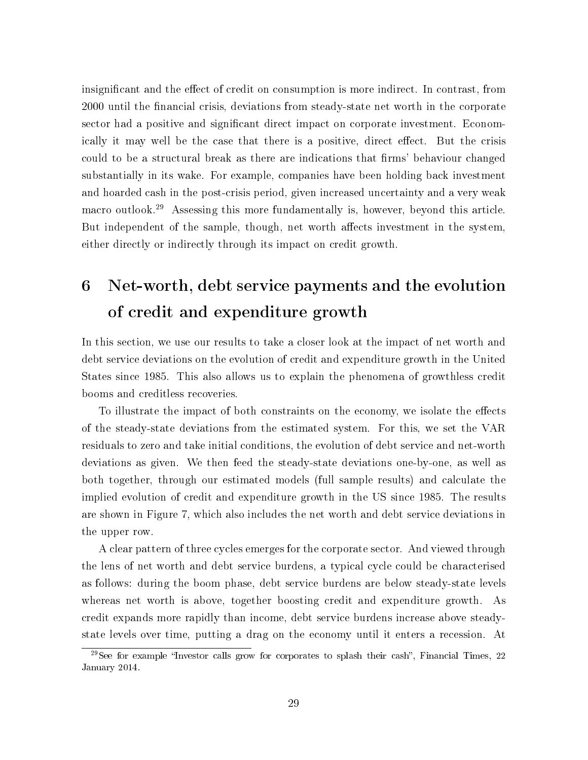insignificant and the effect of credit on consumption is more indirect. In contrast, from 2000 until the nancial crisis, deviations from steady-state net worth in the corporate sector had a positive and significant direct impact on corporate investment. Economically it may well be the case that there is a positive, direct effect. But the crisis could to be a structural break as there are indications that firms' behaviour changed substantially in its wake. For example, companies have been holding back investment and hoarded cash in the post-crisis period, given increased uncertainty and a very weak macro outlook.<sup>29</sup> Assessing this more fundamentally is, however, beyond this article. But independent of the sample, though, net worth affects investment in the system. either directly or indirectly through its impact on credit growth.

# 6 Net-worth, debt service payments and the evolution of credit and expenditure growth

In this section, we use our results to take a closer look at the impact of net worth and debt service deviations on the evolution of credit and expenditure growth in the United States since 1985. This also allows us to explain the phenomena of growthless credit booms and creditless recoveries.

To illustrate the impact of both constraints on the economy, we isolate the effects of the steady-state deviations from the estimated system. For this, we set the VAR residuals to zero and take initial conditions, the evolution of debt service and net-worth deviations as given. We then feed the steady-state deviations one-by-one, as well as both together, through our estimated models (full sample results) and calculate the implied evolution of credit and expenditure growth in the US since 1985. The results are shown in Figure 7, which also includes the net worth and debt service deviations in the upper row.

A clear pattern of three cycles emerges for the corporate sector. And viewed through the lens of net worth and debt service burdens, a typical cycle could be characterised as follows: during the boom phase, debt service burdens are below steady-state levels whereas net worth is above, together boosting credit and expenditure growth. As credit expands more rapidly than income, debt service burdens increase above steadystate levels over time, putting a drag on the economy until it enters a recession. At

 $29$ See for example "Investor calls grow for corporates to splash their cash", Financial Times, 22 January 2014.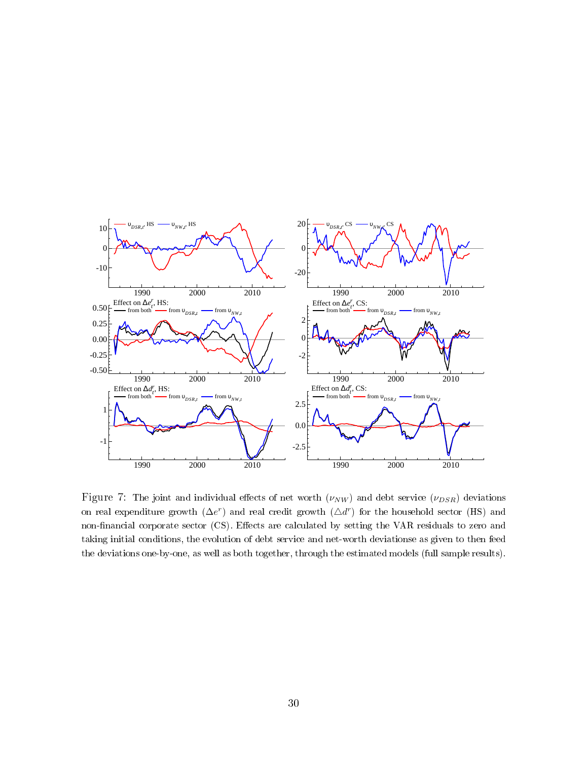

Figure 7: The joint and individual effects of net worth  $(\nu_{NW})$  and debt service  $(\nu_{DSR})$  deviations on real expenditure growth  $(\Delta e^r)$  and real credit growth  $(\Delta d^r)$  for the household sector (HS) and non-financial corporate sector (CS). Effects are calculated by setting the VAR residuals to zero and taking initial conditions, the evolution of debt service and net-worth deviationse as given to then feed the deviations one-by-one, as well as both together, through the estimated models (full sample results).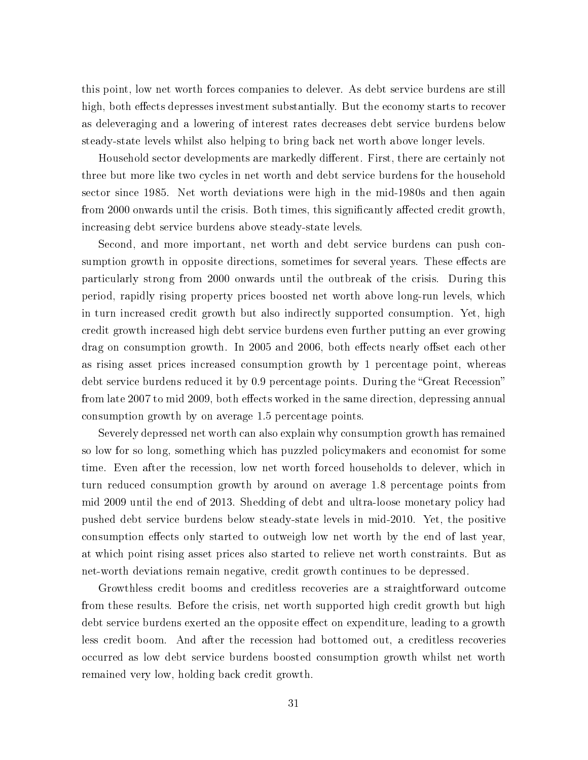this point, low net worth forces companies to delever. As debt service burdens are still high, both effects depresses investment substantially. But the economy starts to recover as deleveraging and a lowering of interest rates decreases debt service burdens below steady-state levels whilst also helping to bring back net worth above longer levels.

Household sector developments are markedly different. First, there are certainly not three but more like two cycles in net worth and debt service burdens for the household sector since 1985. Net worth deviations were high in the mid-1980s and then again from 2000 onwards until the crisis. Both times, this significantly affected credit growth, increasing debt service burdens above steady-state levels.

Second, and more important, net worth and debt service burdens can push consumption growth in opposite directions, sometimes for several years. These effects are particularly strong from 2000 onwards until the outbreak of the crisis. During this period, rapidly rising property prices boosted net worth above long-run levels, which in turn increased credit growth but also indirectly supported consumption. Yet, high credit growth increased high debt service burdens even further putting an ever growing drag on consumption growth. In 2005 and 2006, both effects nearly offset each other as rising asset prices increased consumption growth by 1 percentage point, whereas debt service burdens reduced it by 0.9 percentage points. During the "Great Recession" from late 2007 to mid 2009, both effects worked in the same direction, depressing annual consumption growth by on average 1.5 percentage points.

Severely depressed net worth can also explain why consumption growth has remained so low for so long, something which has puzzled policymakers and economist for some time. Even after the recession, low net worth forced households to delever, which in turn reduced consumption growth by around on average 1.8 percentage points from mid 2009 until the end of 2013. Shedding of debt and ultra-loose monetary policy had pushed debt service burdens below steady-state levels in mid-2010. Yet, the positive consumption effects only started to outweigh low net worth by the end of last year. at which point rising asset prices also started to relieve net worth constraints. But as net-worth deviations remain negative, credit growth continues to be depressed.

Growthless credit booms and creditless recoveries are a straightforward outcome from these results. Before the crisis, net worth supported high credit growth but high debt service burdens exerted an the opposite effect on expenditure, leading to a growth less credit boom. And after the recession had bottomed out, a creditless recoveries occurred as low debt service burdens boosted consumption growth whilst net worth remained very low, holding back credit growth.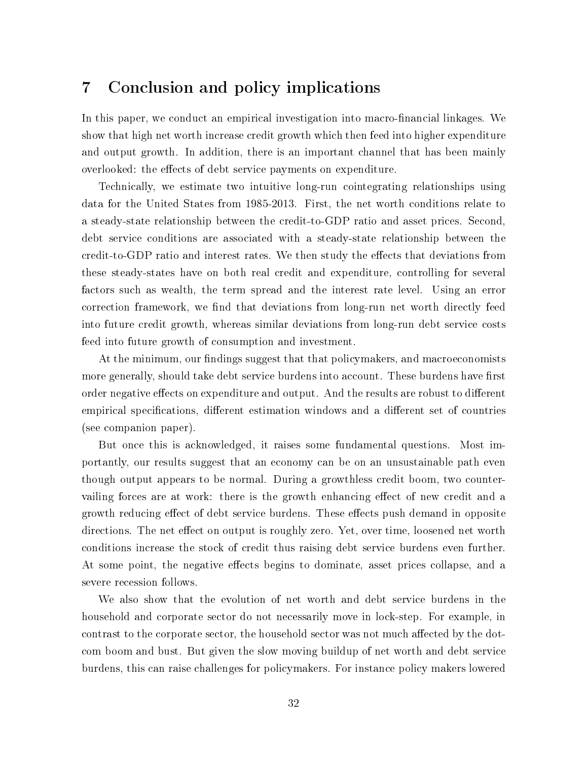## 7 Conclusion and policy implications

In this paper, we conduct an empirical investigation into macro-financial linkages. We show that high net worth increase credit growth which then feed into higher expenditure and output growth. In addition, there is an important channel that has been mainly overlooked: the effects of debt service payments on expenditure.

Technically, we estimate two intuitive long-run cointegrating relationships using data for the United States from 1985-2013. First, the net worth conditions relate to a steady-state relationship between the credit-to-GDP ratio and asset prices. Second, debt service conditions are associated with a steady-state relationship between the credit-to-GDP ratio and interest rates. We then study the effects that deviations from these steady-states have on both real credit and expenditure, controlling for several factors such as wealth, the term spread and the interest rate level. Using an error correction framework, we find that deviations from long-run net worth directly feed into future credit growth, whereas similar deviations from long-run debt service costs feed into future growth of consumption and investment.

At the minimum, our findings suggest that that policymakers, and macroeconomists more generally, should take debt service burdens into account. These burdens have first order negative effects on expenditure and output. And the results are robust to different empirical specifications, different estimation windows and a different set of countries (see companion paper).

But once this is acknowledged, it raises some fundamental questions. Most importantly, our results suggest that an economy can be on an unsustainable path even though output appears to be normal. During a growthless credit boom, two countervailing forces are at work: there is the growth enhancing effect of new credit and a growth reducing effect of debt service burdens. These effects push demand in opposite directions. The net effect on output is roughly zero. Yet, over time, loosened net worth conditions increase the stock of credit thus raising debt service burdens even further. At some point, the negative effects begins to dominate, asset prices collapse, and a severe recession follows.

We also show that the evolution of net worth and debt service burdens in the household and corporate sector do not necessarily move in lock-step. For example, in contrast to the corporate sector, the household sector was not much affected by the dotcom boom and bust. But given the slow moving buildup of net worth and debt service burdens, this can raise challenges for policymakers. For instance policy makers lowered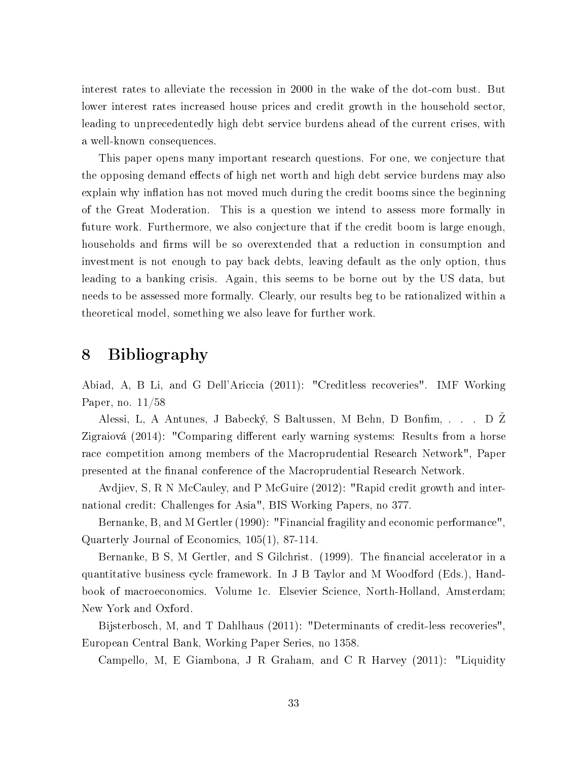interest rates to alleviate the recession in 2000 in the wake of the dot-com bust. But lower interest rates increased house prices and credit growth in the household sector, leading to unprecedentedly high debt service burdens ahead of the current crises, with a well-known consequences.

This paper opens many important research questions. For one, we conjecture that the opposing demand effects of high net worth and high debt service burdens may also explain why inflation has not moved much during the credit booms since the beginning of the Great Moderation. This is a question we intend to assess more formally in future work. Furthermore, we also conjecture that if the credit boom is large enough, households and firms will be so overextended that a reduction in consumption and investment is not enough to pay back debts, leaving default as the only option, thus leading to a banking crisis. Again, this seems to be borne out by the US data, but needs to be assessed more formally. Clearly, our results beg to be rationalized within a theoretical model, something we also leave for further work.

# 8 Bibliography

Abiad, A, B Li, and G Dell'Ariccia (2011): "Creditless recoveries". IMF Working Paper, no. 11/58

Alessi, L, A Antunes, J Babecký, S Baltussen, M Behn, D Bonfim, . . . D Z Zigraiová (2014): "Comparing different early warning systems: Results from a horse race competition among members of the Macroprudential Research Network", Paper presented at the nanal conference of the Macroprudential Research Network.

Avdjiev, S, R N McCauley, and P McGuire (2012): "Rapid credit growth and international credit: Challenges for Asia", BIS Working Papers, no 377.

Bernanke, B, and M Gertler (1990): "Financial fragility and economic performance", Quarterly Journal of Economics, 105(1), 87-114.

Bernanke, B S, M Gertler, and S Gilchrist. (1999). The financial accelerator in a quantitative business cycle framework. In J B Taylor and M Woodford (Eds.), Handbook of macroeconomics. Volume 1c. Elsevier Science, North-Holland, Amsterdam; New York and Oxford.

Bijsterbosch, M, and T Dahlhaus (2011): "Determinants of credit-less recoveries", European Central Bank, Working Paper Series, no 1358.

Campello, M, E Giambona, J R Graham, and C R Harvey (2011): "Liquidity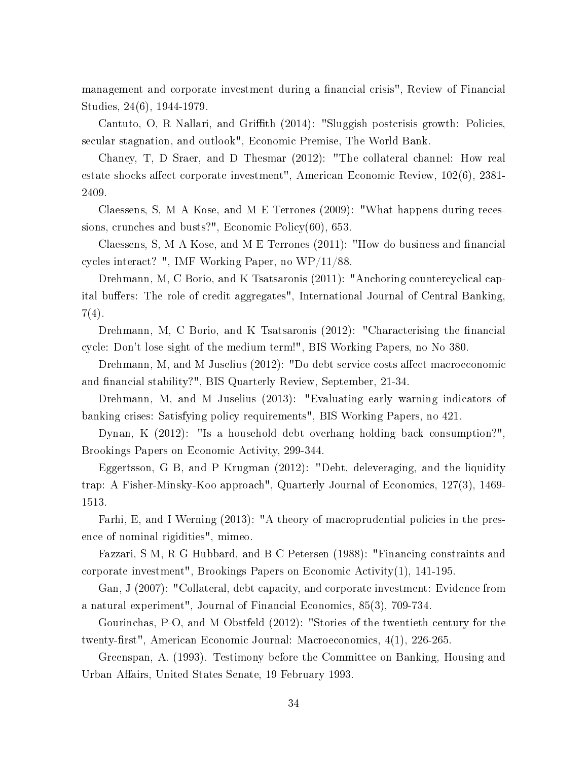management and corporate investment during a financial crisis", Review of Financial Studies, 24(6), 1944-1979.

Cantuto, O, R Nallari, and Griffith (2014): "Sluggish postcrisis growth: Policies, secular stagnation, and outlook", Economic Premise, The World Bank.

Chaney, T, D Sraer, and D Thesmar (2012): "The collateral channel: How real estate shocks affect corporate investment", American Economic Review,  $102(6)$ ,  $2381-$ 2409.

Claessens, S, M A Kose, and M E Terrones (2009): "What happens during recessions, crunches and busts?", Economic Policy(60), 653.

Claessens, S, M A Kose, and M E Terrones  $(2011)$ : "How do business and financial cycles interact? ", IMF Working Paper, no WP/11/88.

Drehmann, M, C Borio, and K Tsatsaronis (2011): "Anchoring countercyclical capital buffers: The role of credit aggregates", International Journal of Central Banking, 7(4).

Drehmann, M, C Borio, and K Tsatsaronis  $(2012)$ : "Characterising the financial cycle: Don't lose sight of the medium term!", BIS Working Papers, no No 380.

Drehmann, M, and M Juselius  $(2012)$ : "Do debt service costs affect macroeconomic and financial stability?", BIS Quarterly Review, September, 21-34.

Drehmann, M, and M Juselius (2013): "Evaluating early warning indicators of banking crises: Satisfying policy requirements", BIS Working Papers, no 421.

Dynan, K (2012): "Is a household debt overhang holding back consumption?", Brookings Papers on Economic Activity, 299-344.

Eggertsson, G B, and P Krugman (2012): "Debt, deleveraging, and the liquidity trap: A Fisher-Minsky-Koo approach", Quarterly Journal of Economics, 127(3), 1469- 1513.

Farhi, E, and I Werning (2013): "A theory of macroprudential policies in the presence of nominal rigidities", mimeo.

Fazzari, S M, R G Hubbard, and B C Petersen (1988): "Financing constraints and corporate investment", Brookings Papers on Economic Activity(1), 141-195.

Gan, J (2007): "Collateral, debt capacity, and corporate investment: Evidence from a natural experiment", Journal of Financial Economics, 85(3), 709-734.

Gourinchas, P-O, and M Obstfeld (2012): "Stories of the twentieth century for the twenty-first", American Economic Journal: Macroeconomics, 4(1), 226-265.

Greenspan, A. (1993). Testimony before the Committee on Banking, Housing and Urban Affairs, United States Senate, 19 February 1993.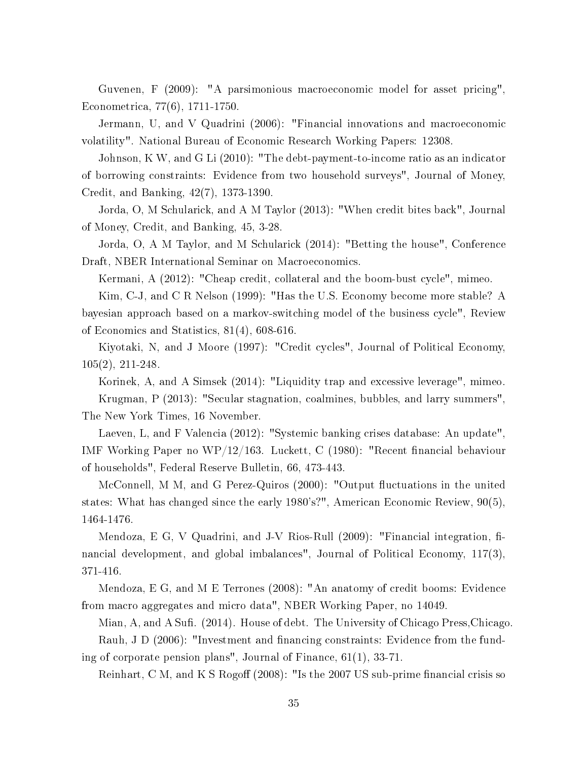Guvenen, F (2009): "A parsimonious macroeconomic model for asset pricing", Econometrica, 77(6), 1711-1750.

Jermann, U, and V Quadrini (2006): "Financial innovations and macroeconomic volatility". National Bureau of Economic Research Working Papers: 12308.

Johnson, K W, and G Li (2010): "The debt-payment-to-income ratio as an indicator of borrowing constraints: Evidence from two household surveys", Journal of Money, Credit, and Banking, 42(7), 1373-1390.

Jorda, O, M Schularick, and A M Taylor (2013): "When credit bites back", Journal of Money, Credit, and Banking, 45, 3-28.

Jorda, O, A M Taylor, and M Schularick (2014): "Betting the house", Conference Draft, NBER International Seminar on Macroeconomics.

Kermani, A (2012): "Cheap credit, collateral and the boom-bust cycle", mimeo.

Kim, C-J, and C R Nelson (1999): "Has the U.S. Economy become more stable? A bayesian approach based on a markov-switching model of the business cycle", Review of Economics and Statistics, 81(4), 608-616.

Kiyotaki, N, and J Moore (1997): "Credit cycles", Journal of Political Economy, 105(2), 211-248.

Korinek, A, and A Simsek (2014): "Liquidity trap and excessive leverage", mimeo. Krugman, P (2013): "Secular stagnation, coalmines, bubbles, and larry summers", The New York Times, 16 November.

Laeven, L, and F Valencia (2012): "Systemic banking crises database: An update", IMF Working Paper no WP/12/163. Luckett, C (1980): "Recent financial behaviour of households", Federal Reserve Bulletin, 66, 473-443.

McConnell, M M, and G Perez-Quiros (2000): "Output fluctuations in the united states: What has changed since the early 1980's?", American Economic Review, 90(5), 1464-1476.

Mendoza, E G, V Quadrini, and J-V Rios-Rull  $(2009)$ : "Financial integration, financial development, and global imbalances", Journal of Political Economy, 117(3), 371-416.

Mendoza, E G, and M E Terrones (2008): "An anatomy of credit booms: Evidence from macro aggregates and micro data", NBER Working Paper, no 14049.

Mian, A, and A Sufi. (2014). House of debt. The University of Chicago Press, Chicago. Rauh, J D  $(2006)$ : "Investment and financing constraints: Evidence from the funding of corporate pension plans", Journal of Finance, 61(1), 33-71.

Reinhart, C M, and K S Rogoff (2008): "Is the 2007 US sub-prime financial crisis so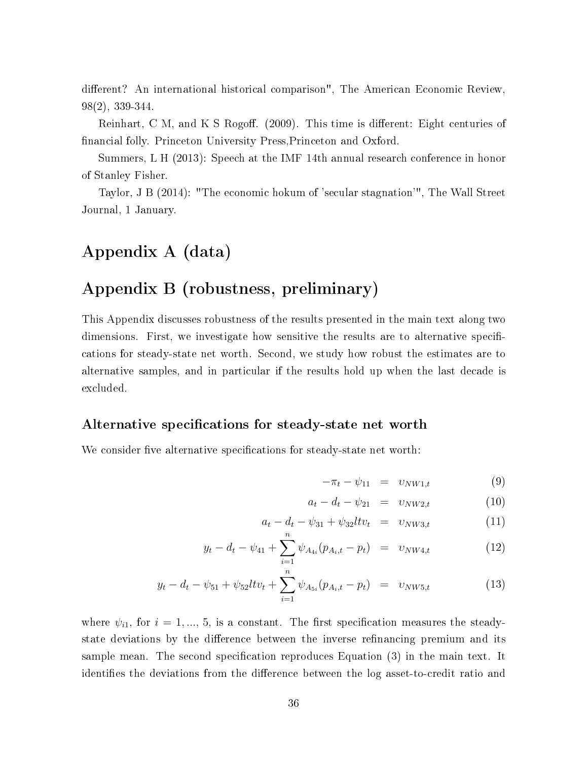different? An international historical comparison", The American Economic Review, 98(2), 339-344.

Reinhart, C M, and K S Rogoff. (2009). This time is different: Eight centuries of nancial folly. Princeton University Press,Princeton and Oxford.

Summers, L H (2013): Speech at the IMF 14th annual research conference in honor of Stanley Fisher.

Taylor, J B (2014): "The economic hokum of 'secular stagnation'", The Wall Street Journal, 1 January.

## Appendix A (data)

## Appendix B (robustness, preliminary)

This Appendix discusses robustness of the results presented in the main text along two dimensions. First, we investigate how sensitive the results are to alternative specifications for steady-state net worth. Second, we study how robust the estimates are to alternative samples, and in particular if the results hold up when the last decade is excluded.

#### Alternative specifications for steady-state net worth

We consider five alternative specifications for steady-state net worth:

$$
-\pi_t - \psi_{11} = v_{NW1,t} \tag{9}
$$

$$
a_t - d_t - \psi_{21} = v_{NW2,t} \tag{10}
$$

$$
a_t - d_t - \psi_{31} + \psi_{32} l t v_t = v_{NW3,t} \tag{11}
$$

$$
y_t - d_t - \psi_{41} + \sum_{i=1}^n \psi_{A_{4i}}(p_{A_i, t} - p_t) = v_{NW4, t} \tag{12}
$$

$$
y_t - d_t - \psi_{51} + \psi_{52} l t v_t + \sum_{i=1}^n \psi_{A_{5i}}(p_{A_i, t} - p_t) = v_{NW5, t}
$$
 (13)

where  $\psi_{i1}$ , for  $i = 1, ..., 5$ , is a constant. The first specification measures the steadystate deviations by the difference between the inverse refinancing premium and its sample mean. The second specification reproduces Equation  $(3)$  in the main text. It identifies the deviations from the difference between the log asset-to-credit ratio and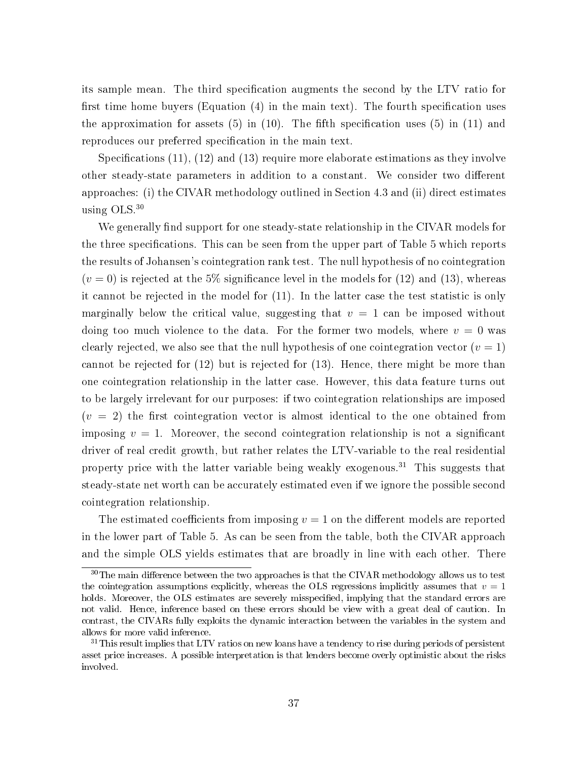its sample mean. The third specification augments the second by the LTV ratio for first time home buyers (Equation  $(4)$  in the main text). The fourth specification uses the approximation for assets (5) in (10). The fifth specification uses (5) in (11) and reproduces our preferred specification in the main text.

Specifications  $(11)$ ,  $(12)$  and  $(13)$  require more elaborate estimations as they involve other steady-state parameters in addition to a constant. We consider two different approaches: (i) the CIVAR methodology outlined in Section 4.3 and (ii) direct estimates using OLS.<sup>30</sup>

We generally find support for one steady-state relationship in the CIVAR models for the three specifications. This can be seen from the upper part of Table 5 which reports the results of Johansen's cointegration rank test. The null hypothesis of no cointegration  $(v = 0)$  is rejected at the 5% significance level in the models for (12) and (13), whereas it cannot be rejected in the model for (11). In the latter case the test statistic is only marginally below the critical value, suggesting that  $v = 1$  can be imposed without doing too much violence to the data. For the former two models, where  $v = 0$  was clearly rejected, we also see that the null hypothesis of one cointegration vector  $(v = 1)$ cannot be rejected for (12) but is rejected for (13). Hence, there might be more than one cointegration relationship in the latter case. However, this data feature turns out to be largely irrelevant for our purposes: if two cointegration relationships are imposed  $(v = 2)$  the first cointegration vector is almost identical to the one obtained from imposing  $v = 1$ . Moreover, the second cointegration relationship is not a significant driver of real credit growth, but rather relates the LTV-variable to the real residential property price with the latter variable being weakly exogenous.<sup>31</sup> This suggests that steady-state net worth can be accurately estimated even if we ignore the possible second cointegration relationship.

The estimated coefficients from imposing  $v = 1$  on the different models are reported in the lower part of Table 5. As can be seen from the table, both the CIVAR approach and the simple OLS yields estimates that are broadly in line with each other. There

 $30$ The main difference between the two approaches is that the CIVAR methodology allows us to test the cointegration assumptions explicitly, whereas the OLS regressions implicitly assumes that  $v = 1$ holds. Moreover, the OLS estimates are severely misspecified, implying that the standard errors are not valid. Hence, inference based on these errors should be view with a great deal of caution. In contrast, the CIVARs fully exploits the dynamic interaction between the variables in the system and allows for more valid inference.

<sup>&</sup>lt;sup>31</sup>This result implies that LTV ratios on new loans have a tendency to rise during periods of persistent asset price increases. A possible interpretation is that lenders become overly optimistic about the risks involved.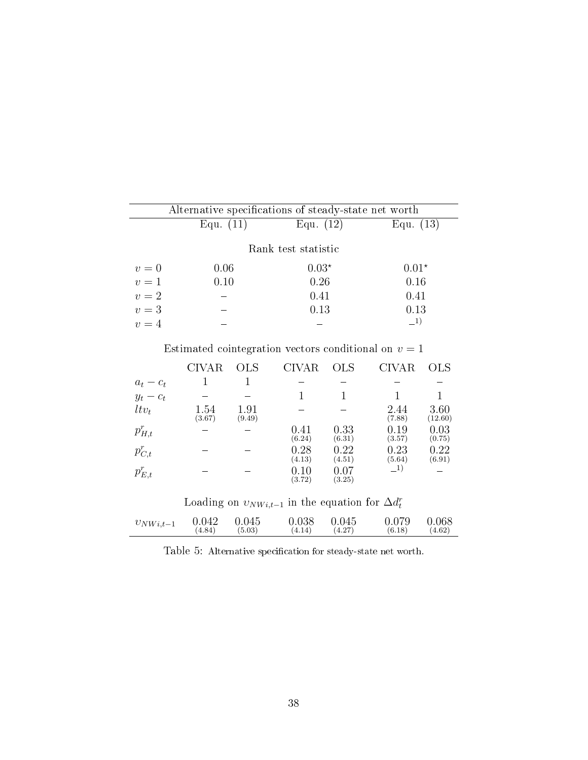|                                                        | Alternative specifications of steady-state net worth |                |                     |      |                |                 |  |  |  |
|--------------------------------------------------------|------------------------------------------------------|----------------|---------------------|------|----------------|-----------------|--|--|--|
|                                                        | Equ. $(11)$                                          |                | Equ. $(12)$         |      | Equ. $(13)$    |                 |  |  |  |
|                                                        |                                                      |                | Rank test statistic |      |                |                 |  |  |  |
| $v=0$                                                  | 0.06                                                 |                | $0.03*$             |      |                | $0.01*$         |  |  |  |
| $v=1$                                                  | 0.10                                                 |                | 0.26                |      | 0.16           |                 |  |  |  |
| $v=2$                                                  |                                                      |                |                     | 0.41 |                | 0.41            |  |  |  |
| $v=3$                                                  |                                                      |                |                     | 0.13 |                | 0.13            |  |  |  |
| $v=4$                                                  |                                                      |                |                     |      |                | $\_{1}$         |  |  |  |
| Estimated cointegration vectors conditional on $v=1$   |                                                      |                |                     |      |                |                 |  |  |  |
|                                                        | CIVAR                                                | OLS.           | CIVAR.              | OLS  | CIVAR          | <b>OLS</b>      |  |  |  |
|                                                        |                                                      | 1              |                     |      |                |                 |  |  |  |
| $\begin{aligned} a_t - c_t \\ y_t - c_t \end{aligned}$ |                                                      |                |                     |      |                |                 |  |  |  |
| $ltv_t$                                                | 1.54<br>(3.67)                                       | 1.91<br>(9.49) |                     |      | 2.44<br>(7.88) | 3.60<br>(12.60) |  |  |  |

| $p_{H,t}^r$ |  | 0.41<br>(6.24)       | 0.33<br>(6.31)     | .19<br>(3.57)         | 0.03<br>(0.75)      |
|-------------|--|----------------------|--------------------|-----------------------|---------------------|
| $p_{C,t}^r$ |  | 0.28<br>(4.13)       | 0.22<br>(4.51)     | 0.23<br>(5.64)        | 0.22<br>$^{(6.91)}$ |
| $p_{E,t}^r$ |  | $\rm 0.10$<br>(3.72) | $0.07\,$<br>(3.25) | $\mathbf{I}^{\prime}$ |                     |

Loading on  $v_{NW i,t-1}$  in the equation for  $\Delta d_t^r$ 

| $0.079$ 0.068<br>$v_{NWi,t-1}$ 0.042 0.045<br>$0.038$ 0.045<br>(4.27)<br>(4.84)<br>(6.18)<br>(5.03)<br>$(4.14)$ $(4.1)$ | (4.62) |
|-------------------------------------------------------------------------------------------------------------------------|--------|
|-------------------------------------------------------------------------------------------------------------------------|--------|

Table 5: Alternative specification for steady-state net worth.  $\;$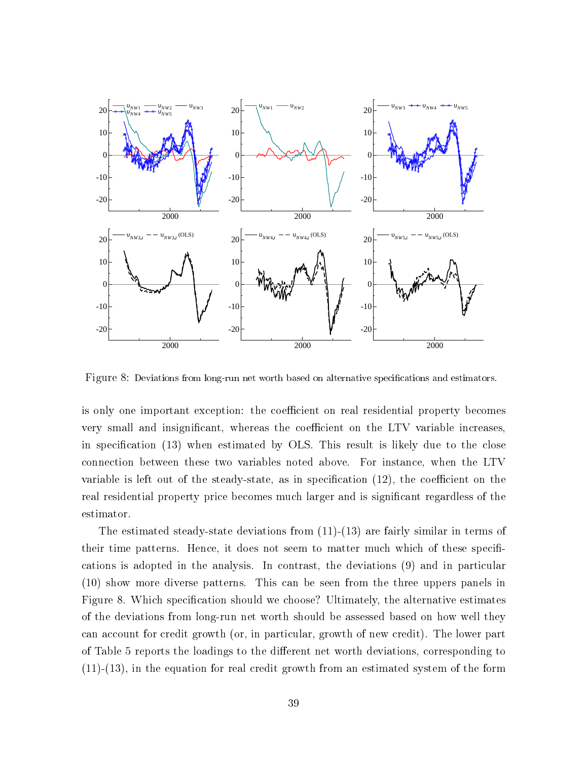

Figure 8: Deviations from long-run net worth based on alternative specifications and estimators.

is only one important exception: the coefficient on real residential property becomes very small and insignificant, whereas the coefficient on the LTV variable increases, in specification  $(13)$  when estimated by OLS. This result is likely due to the close connection between these two variables noted above. For instance, when the LTV variable is left out of the steady-state, as in specification  $(12)$ , the coefficient on the real residential property price becomes much larger and is significant regardless of the estimator.

The estimated steady-state deviations from (11)-(13) are fairly similar in terms of their time patterns. Hence, it does not seem to matter much which of these specifications is adopted in the analysis. In contrast, the deviations (9) and in particular (10) show more diverse patterns. This can be seen from the three uppers panels in Figure 8. Which specification should we choose? Ultimately, the alternative estimates of the deviations from long-run net worth should be assessed based on how well they can account for credit growth (or, in particular, growth of new credit). The lower part of Table 5 reports the loadings to the different net worth deviations, corresponding to (11)-(13), in the equation for real credit growth from an estimated system of the form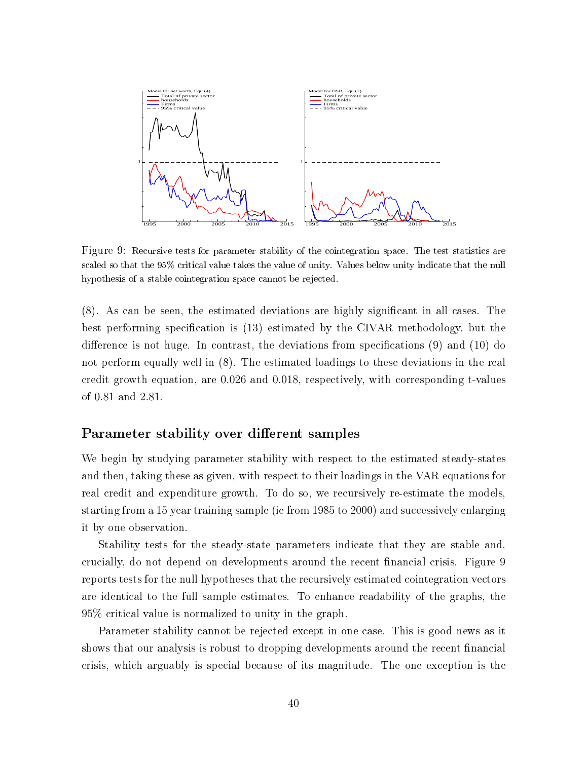

Figure 9: Recursive tests for parameter stability of the cointegration space. The test statistics are scaled so that the 95% critical value takes the value of unity. Values below unity indicate that the null hypothesis of a stable cointegration space cannot be rejected.

(8). As can be seen, the estimated deviations are highly signicant in all cases. The best performing specification is  $(13)$  estimated by the CIVAR methodology, but the difference is not huge. In contrast, the deviations from specifications  $(9)$  and  $(10)$  do not perform equally well in (8). The estimated loadings to these deviations in the real credit growth equation, are 0.026 and 0.018, respectively, with corresponding t-values of 0.81 and 2.81.

#### Parameter stability over different samples

We begin by studying parameter stability with respect to the estimated steady-states and then, taking these as given, with respect to their loadings in the VAR equations for real credit and expenditure growth. To do so, we recursively re-estimate the models, starting from a 15 year training sample (ie from 1985 to 2000) and successively enlarging it by one observation.

Stability tests for the steady-state parameters indicate that they are stable and, crucially, do not depend on developments around the recent financial crisis. Figure 9 reports tests for the null hypotheses that the recursively estimated cointegration vectors are identical to the full sample estimates. To enhance readability of the graphs, the 95% critical value is normalized to unity in the graph.

Parameter stability cannot be rejected except in one case. This is good news as it shows that our analysis is robust to dropping developments around the recent financial crisis, which arguably is special because of its magnitude. The one exception is the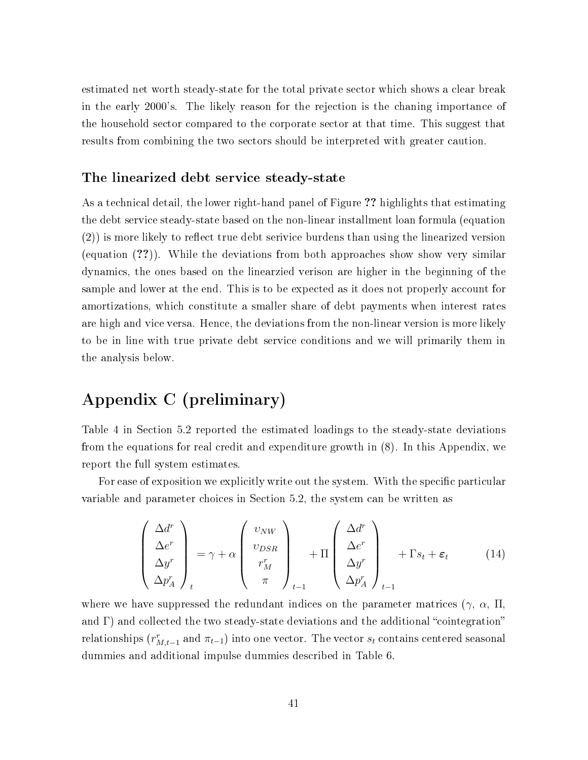estimated net worth steady-state for the total private sector which shows a clear break in the early 2000's. The likely reason for the rejection is the chaning importance of the household sector compared to the corporate sector at that time. This suggest that results from combining the two sectors should be interpreted with greater caution.

#### The linearized debt service steady-state

As a technical detail, the lower right-hand panel of Figure ?? highlights that estimating the debt service steady-state based on the non-linear installment loan formula (equation  $(2)$ ) is more likely to reflect true debt serivice burdens than using the linearized version (equation (??)). While the deviations from both approaches show show very similar dynamics, the ones based on the linearzied verison are higher in the beginning of the sample and lower at the end. This is to be expected as it does not properly account for amortizations, which constitute a smaller share of debt payments when interest rates are high and vice versa. Hence, the deviations from the non-linear version is more likely to be in line with true private debt service conditions and we will primarily them in the analysis below.

## Appendix C (preliminary)

Table 4 in Section 5.2 reported the estimated loadings to the steady-state deviations from the equations for real credit and expenditure growth in (8). In this Appendix, we report the full system estimates.

For ease of exposition we explicitly write out the system. With the specific particular variable and parameter choices in Section 5.2, the system can be written as

$$
\begin{pmatrix}\n\Delta d^r \\
\Delta e^r \\
\Delta y^r \\
\Delta p_A^r\n\end{pmatrix}_t = \gamma + \alpha \begin{pmatrix}\nv_{NW} \\
v_{DSR} \\
r_M^r \\
\pi\n\end{pmatrix}_{t-1} + \Pi \begin{pmatrix}\n\Delta d^r \\
\Delta e^r \\
\Delta y^r \\
\Delta p_A^r\n\end{pmatrix}_{t-1} + \Gamma s_t + \varepsilon_t\n\tag{14}
$$

where we have suppressed the redundant indices on the parameter matrices  $(\gamma, \alpha, \Pi)$ and  $\Gamma$ ) and collected the two steady-state deviations and the additional "cointegration" relationships  $(r_{M,t-1}^r$  and  $\pi_{t-1})$  into one vector. The vector  $s_t$  contains centered seasonal dummies and additional impulse dummies described in Table 6.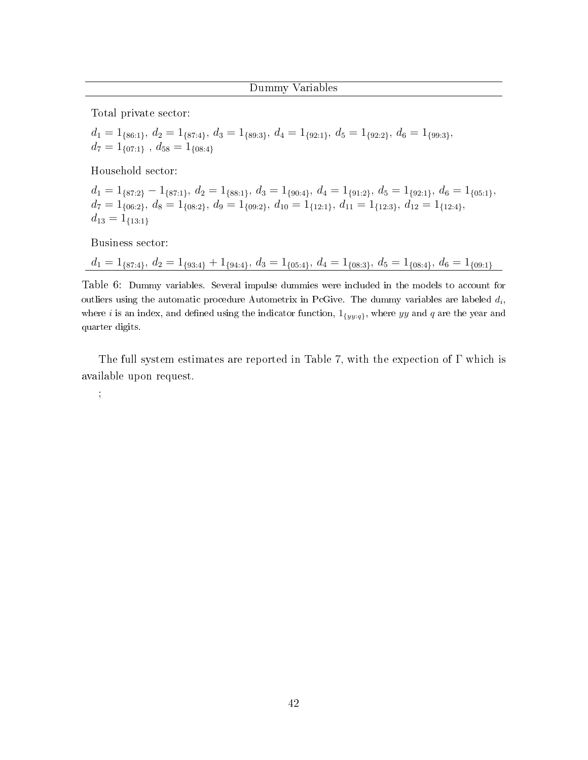Total private sector:

$$
\begin{array}{l} d_1 = 1_{\{86:1\}},\, d_2 = 1_{\{87:4\}},\, d_3 = 1_{\{89:3\}},\, d_4 = 1_{\{92:1\}},\, d_5 = 1_{\{92:2\}},\, d_6 = 1_{\{99:3\}},\\ d_7 = 1_{\{07:1\}},\, d_{58} = 1_{\{08:4\}} \end{array}
$$

Household sector:

 $d_1 = 1_{\{87:2\}} - 1_{\{87:1\}}, d_2 = 1_{\{88:1\}}, d_3 = 1_{\{90:4\}}, d_4 = 1_{\{91:2\}}, d_5 = 1_{\{92:1\}}, d_6 = 1_{\{05:1\}},$  $d_7 = 1_{\{06:2\}}, d_8 = 1_{\{08:2\}}, d_9 = 1_{\{09:2\}}, d_{10} = 1_{\{12:1\}}, d_{11} = 1_{\{12:3\}}, d_{12} = 1_{\{12:4\}},$  $d_{13} = 1_{\{13:1\}}$ 

Business sector:

 $d_1 = 1_{\{87:4\}}, d_2 = 1_{\{93:4\}} + 1_{\{94:4\}}, d_3 = 1_{\{05:4\}}, d_4 = 1_{\{08:3\}}, d_5 = 1_{\{08:4\}}, d_6 = 1_{\{09:1\}}$ 

Table 6: Dummy variables. Several impulse dummies were included in the models to account for outliers using the automatic procedure Autometrix in PcGive. The dummy variables are labeled  $d_i$ , where i is an index, and defined using the indicator function,  $1_{\{yy:q\}}$ , where yy and q are the year and quarter digits.

The full system estimates are reported in Table 7, with the expection of Γ which is available upon request.

;